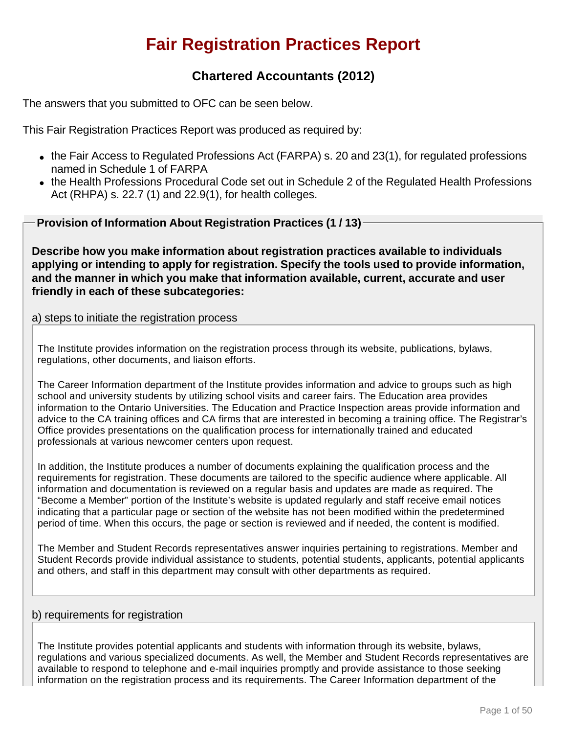# **Fair Registration Practices Report**

# **Chartered Accountants (2012)**

The answers that you submitted to OFC can be seen below.

This Fair Registration Practices Report was produced as required by:

- $\bullet$  the Fair Access to Regulated Professions Act (FARPA) s. 20 and 23(1), for regulated professions named in Schedule 1 of FARPA
- the Health Professions Procedural Code set out in Schedule 2 of the Regulated Health Professions Act (RHPA) s. 22.7 (1) and 22.9(1), for health colleges.

**Provision of Information About Registration Practices (1 / 13)**

**Describe how you make information about registration practices available to individuals applying or intending to apply for registration. Specify the tools used to provide information, and the manner in which you make that information available, current, accurate and user friendly in each of these subcategories:**

### a) steps to initiate the registration process

The Institute provides information on the registration process through its website, publications, bylaws, regulations, other documents, and liaison efforts.

The Career Information department of the Institute provides information and advice to groups such as high school and university students by utilizing school visits and career fairs. The Education area provides information to the Ontario Universities. The Education and Practice Inspection areas provide information and advice to the CA training offices and CA firms that are interested in becoming a training office. The Registrar's Office provides presentations on the qualification process for internationally trained and educated professionals at various newcomer centers upon request.

In addition, the Institute produces a number of documents explaining the qualification process and the requirements for registration. These documents are tailored to the specific audience where applicable. All information and documentation is reviewed on a regular basis and updates are made as required. The "Become a Member" portion of the Institute's website is updated regularly and staff receive email notices indicating that a particular page or section of the website has not been modified within the predetermined period of time. When this occurs, the page or section is reviewed and if needed, the content is modified.

The Member and Student Records representatives answer inquiries pertaining to registrations. Member and Student Records provide individual assistance to students, potential students, applicants, potential applicants and others, and staff in this department may consult with other departments as required.

### b) requirements for registration

The Institute provides potential applicants and students with information through its website, bylaws, regulations and various specialized documents. As well, the Member and Student Records representatives are available to respond to telephone and e-mail inquiries promptly and provide assistance to those seeking information on the registration process and its requirements. The Career Information department of the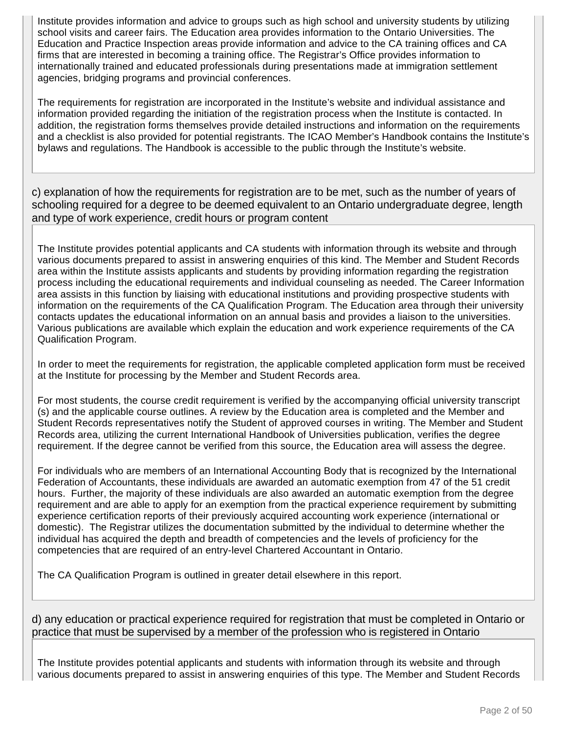Institute provides information and advice to groups such as high school and university students by utilizing school visits and career fairs. The Education area provides information to the Ontario Universities. The Education and Practice Inspection areas provide information and advice to the CA training offices and CA firms that are interested in becoming a training office. The Registrar's Office provides information to internationally trained and educated professionals during presentations made at immigration settlement agencies, bridging programs and provincial conferences.

The requirements for registration are incorporated in the Institute's website and individual assistance and information provided regarding the initiation of the registration process when the Institute is contacted. In addition, the registration forms themselves provide detailed instructions and information on the requirements and a checklist is also provided for potential registrants. The ICAO Member's Handbook contains the Institute's bylaws and regulations. The Handbook is accessible to the public through the Institute's website.

c) explanation of how the requirements for registration are to be met, such as the number of years of schooling required for a degree to be deemed equivalent to an Ontario undergraduate degree, length and type of work experience, credit hours or program content

The Institute provides potential applicants and CA students with information through its website and through various documents prepared to assist in answering enquiries of this kind. The Member and Student Records area within the Institute assists applicants and students by providing information regarding the registration process including the educational requirements and individual counseling as needed. The Career Information area assists in this function by liaising with educational institutions and providing prospective students with information on the requirements of the CA Qualification Program. The Education area through their university contacts updates the educational information on an annual basis and provides a liaison to the universities. Various publications are available which explain the education and work experience requirements of the CA Qualification Program.

In order to meet the requirements for registration, the applicable completed application form must be received at the Institute for processing by the Member and Student Records area.

For most students, the course credit requirement is verified by the accompanying official university transcript (s) and the applicable course outlines. A review by the Education area is completed and the Member and Student Records representatives notify the Student of approved courses in writing. The Member and Student Records area, utilizing the current International Handbook of Universities publication, verifies the degree requirement. If the degree cannot be verified from this source, the Education area will assess the degree.

For individuals who are members of an International Accounting Body that is recognized by the International Federation of Accountants, these individuals are awarded an automatic exemption from 47 of the 51 credit hours. Further, the majority of these individuals are also awarded an automatic exemption from the degree requirement and are able to apply for an exemption from the practical experience requirement by submitting experience certification reports of their previously acquired accounting work experience (international or domestic). The Registrar utilizes the documentation submitted by the individual to determine whether the individual has acquired the depth and breadth of competencies and the levels of proficiency for the competencies that are required of an entry-level Chartered Accountant in Ontario.

The CA Qualification Program is outlined in greater detail elsewhere in this report.

d) any education or practical experience required for registration that must be completed in Ontario or practice that must be supervised by a member of the profession who is registered in Ontario

The Institute provides potential applicants and students with information through its website and through various documents prepared to assist in answering enquiries of this type. The Member and Student Records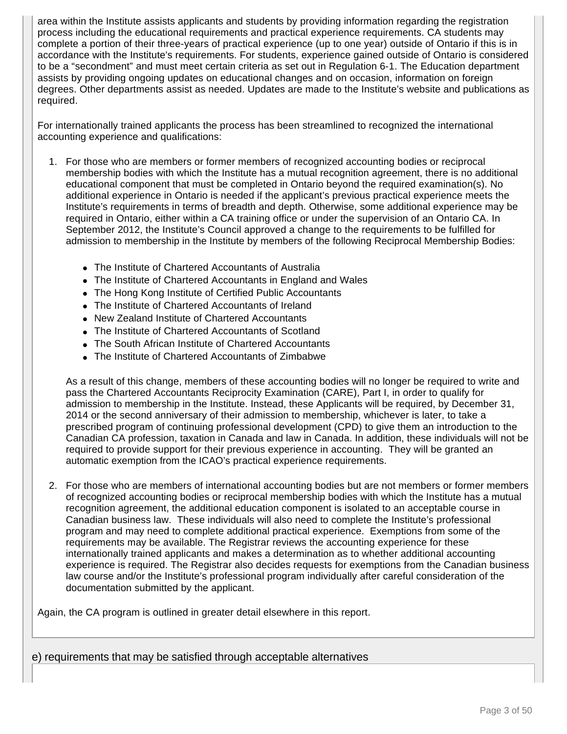area within the Institute assists applicants and students by providing information regarding the registration process including the educational requirements and practical experience requirements. CA students may complete a portion of their three-years of practical experience (up to one year) outside of Ontario if this is in accordance with the Institute's requirements. For students, experience gained outside of Ontario is considered to be a "secondment" and must meet certain criteria as set out in Regulation 6-1. The Education department assists by providing ongoing updates on educational changes and on occasion, information on foreign degrees. Other departments assist as needed. Updates are made to the Institute's website and publications as required.

For internationally trained applicants the process has been streamlined to recognized the international accounting experience and qualifications:

- 1. For those who are members or former members of recognized accounting bodies or reciprocal membership bodies with which the Institute has a mutual recognition agreement, there is no additional educational component that must be completed in Ontario beyond the required examination(s). No additional experience in Ontario is needed if the applicant's previous practical experience meets the Institute's requirements in terms of breadth and depth. Otherwise, some additional experience may be required in Ontario, either within a CA training office or under the supervision of an Ontario CA. In September 2012, the Institute's Council approved a change to the requirements to be fulfilled for admission to membership in the Institute by members of the following Reciprocal Membership Bodies:
	- The Institute of Chartered Accountants of Australia
	- The Institute of Chartered Accountants in England and Wales
	- The Hong Kong Institute of Certified Public Accountants
	- The Institute of Chartered Accountants of Ireland
	- New Zealand Institute of Chartered Accountants
	- The Institute of Chartered Accountants of Scotland
	- The South African Institute of Chartered Accountants
	- The Institute of Chartered Accountants of Zimbabwe

As a result of this change, members of these accounting bodies will no longer be required to write and pass the Chartered Accountants Reciprocity Examination (CARE), Part I, in order to qualify for admission to membership in the Institute. Instead, these Applicants will be required, by December 31, 2014 or the second anniversary of their admission to membership, whichever is later, to take a prescribed program of continuing professional development (CPD) to give them an introduction to the Canadian CA profession, taxation in Canada and law in Canada. In addition, these individuals will not be required to provide support for their previous experience in accounting. They will be granted an automatic exemption from the ICAO's practical experience requirements.

2. For those who are members of international accounting bodies but are not members or former members of recognized accounting bodies or reciprocal membership bodies with which the Institute has a mutual recognition agreement, the additional education component is isolated to an acceptable course in Canadian business law. These individuals will also need to complete the Institute's professional program and may need to complete additional practical experience. Exemptions from some of the requirements may be available. The Registrar reviews the accounting experience for these internationally trained applicants and makes a determination as to whether additional accounting experience is required. The Registrar also decides requests for exemptions from the Canadian business law course and/or the Institute's professional program individually after careful consideration of the documentation submitted by the applicant.

Again, the CA program is outlined in greater detail elsewhere in this report.

e) requirements that may be satisfied through acceptable alternatives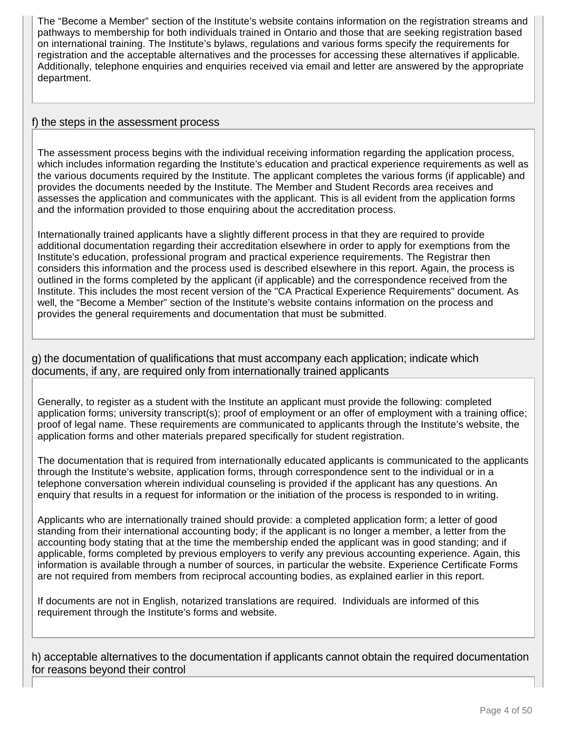The "Become a Member" section of the Institute's website contains information on the registration streams and pathways to membership for both individuals trained in Ontario and those that are seeking registration based on international training. The Institute's bylaws, regulations and various forms specify the requirements for registration and the acceptable alternatives and the processes for accessing these alternatives if applicable. Additionally, telephone enquiries and enquiries received via email and letter are answered by the appropriate department.

#### f) the steps in the assessment process

The assessment process begins with the individual receiving information regarding the application process, which includes information regarding the Institute's education and practical experience requirements as well as the various documents required by the Institute. The applicant completes the various forms (if applicable) and provides the documents needed by the Institute. The Member and Student Records area receives and assesses the application and communicates with the applicant. This is all evident from the application forms and the information provided to those enquiring about the accreditation process.

Internationally trained applicants have a slightly different process in that they are required to provide additional documentation regarding their accreditation elsewhere in order to apply for exemptions from the Institute's education, professional program and practical experience requirements. The Registrar then considers this information and the process used is described elsewhere in this report. Again, the process is outlined in the forms completed by the applicant (if applicable) and the correspondence received from the Institute. This includes the most recent version of the "CA Practical Experience Requirements" document. As well, the "Become a Member" section of the Institute's website contains information on the process and provides the general requirements and documentation that must be submitted.

g) the documentation of qualifications that must accompany each application; indicate which documents, if any, are required only from internationally trained applicants

Generally, to register as a student with the Institute an applicant must provide the following: completed application forms; university transcript(s); proof of employment or an offer of employment with a training office; proof of legal name. These requirements are communicated to applicants through the Institute's website, the application forms and other materials prepared specifically for student registration.

The documentation that is required from internationally educated applicants is communicated to the applicants through the Institute's website, application forms, through correspondence sent to the individual or in a telephone conversation wherein individual counseling is provided if the applicant has any questions. An enquiry that results in a request for information or the initiation of the process is responded to in writing.

Applicants who are internationally trained should provide: a completed application form; a letter of good standing from their international accounting body; if the applicant is no longer a member, a letter from the accounting body stating that at the time the membership ended the applicant was in good standing; and if applicable, forms completed by previous employers to verify any previous accounting experience. Again, this information is available through a number of sources, in particular the website. Experience Certificate Forms are not required from members from reciprocal accounting bodies, as explained earlier in this report.

If documents are not in English, notarized translations are required. Individuals are informed of this requirement through the Institute's forms and website.

h) acceptable alternatives to the documentation if applicants cannot obtain the required documentation for reasons beyond their control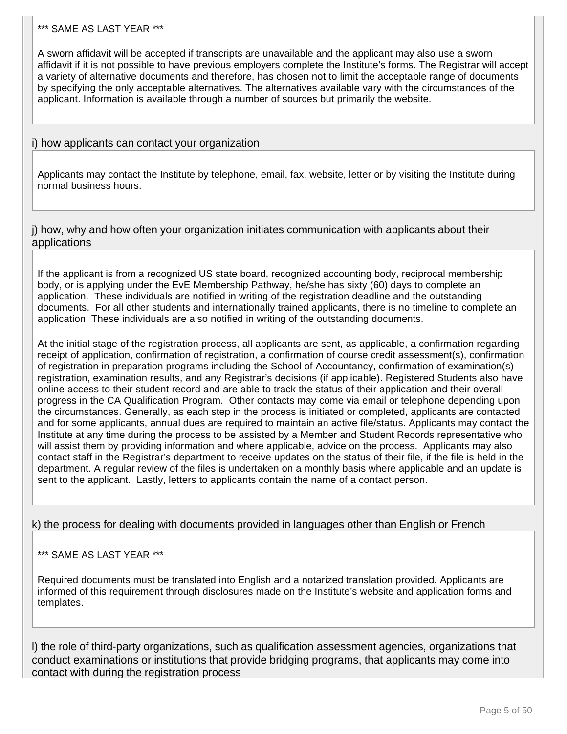#### \*\*\* SAME AS LAST YEAR \*\*\*

A sworn affidavit will be accepted if transcripts are unavailable and the applicant may also use a sworn affidavit if it is not possible to have previous employers complete the Institute's forms. The Registrar will accept a variety of alternative documents and therefore, has chosen not to limit the acceptable range of documents by specifying the only acceptable alternatives. The alternatives available vary with the circumstances of the applicant. Information is available through a number of sources but primarily the website.

### i) how applicants can contact your organization

Applicants may contact the Institute by telephone, email, fax, website, letter or by visiting the Institute during normal business hours.

j) how, why and how often your organization initiates communication with applicants about their applications

If the applicant is from a recognized US state board, recognized accounting body, reciprocal membership body, or is applying under the EvE Membership Pathway, he/she has sixty (60) days to complete an application. These individuals are notified in writing of the registration deadline and the outstanding documents. For all other students and internationally trained applicants, there is no timeline to complete an application. These individuals are also notified in writing of the outstanding documents.

At the initial stage of the registration process, all applicants are sent, as applicable, a confirmation regarding receipt of application, confirmation of registration, a confirmation of course credit assessment(s), confirmation of registration in preparation programs including the School of Accountancy, confirmation of examination(s) registration, examination results, and any Registrar's decisions (if applicable). Registered Students also have online access to their student record and are able to track the status of their application and their overall progress in the CA Qualification Program. Other contacts may come via email or telephone depending upon the circumstances. Generally, as each step in the process is initiated or completed, applicants are contacted and for some applicants, annual dues are required to maintain an active file/status. Applicants may contact the Institute at any time during the process to be assisted by a Member and Student Records representative who will assist them by providing information and where applicable, advice on the process. Applicants may also contact staff in the Registrar's department to receive updates on the status of their file, if the file is held in the department. A regular review of the files is undertaken on a monthly basis where applicable and an update is sent to the applicant. Lastly, letters to applicants contain the name of a contact person.

### k) the process for dealing with documents provided in languages other than English or French

### \*\*\* SAME AS LAST YEAR \*\*\*

Required documents must be translated into English and a notarized translation provided. Applicants are informed of this requirement through disclosures made on the Institute's website and application forms and templates.

l) the role of third-party organizations, such as qualification assessment agencies, organizations that conduct examinations or institutions that provide bridging programs, that applicants may come into contact with during the registration process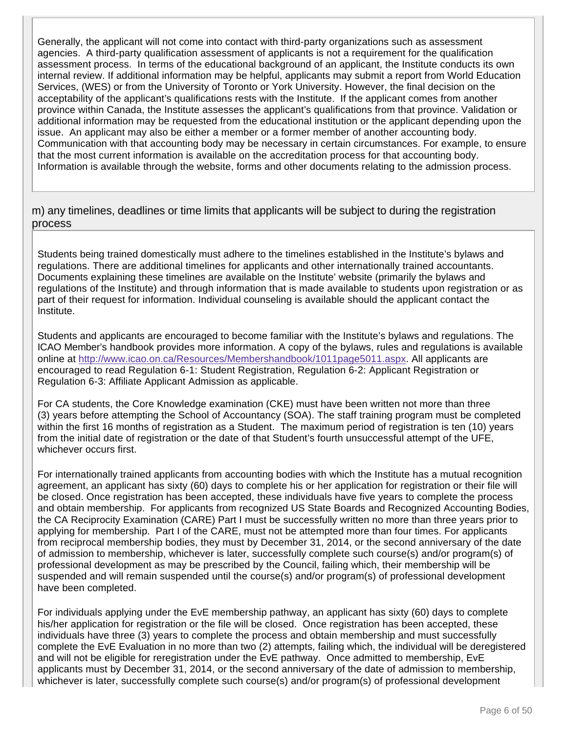Generally, the applicant will not come into contact with third-party organizations such as assessment agencies. A third-party qualification assessment of applicants is not a requirement for the qualification assessment process. In terms of the educational background of an applicant, the Institute conducts its own internal review. If additional information may be helpful, applicants may submit a report from World Education Services, (WES) or from the University of Toronto or York University. However, the final decision on the acceptability of the applicant's qualifications rests with the Institute. If the applicant comes from another province within Canada, the Institute assesses the applicant's qualifications from that province. Validation or additional information may be requested from the educational institution or the applicant depending upon the issue. An applicant may also be either a member or a former member of another accounting body. Communication with that accounting body may be necessary in certain circumstances. For example, to ensure that the most current information is available on the accreditation process for that accounting body. Information is available through the website, forms and other documents relating to the admission process.

m) any timelines, deadlines or time limits that applicants will be subject to during the registration process

Students being trained domestically must adhere to the timelines established in the Institute's bylaws and regulations. There are additional timelines for applicants and other internationally trained accountants. Documents explaining these timelines are available on the Institute' website (primarily the bylaws and regulations of the Institute) and through information that is made available to students upon registration or as part of their request for information. Individual counseling is available should the applicant contact the Institute.

Students and applicants are encouraged to become familiar with the Institute's bylaws and regulations. The ICAO Member's handbook provides more information. A copy of the bylaws, rules and regulations is available online at http://www.icao.on.ca/Resources/Membershandbook/1011page5011.aspx. All applicants are encouraged to read Regulation 6-1: Student Registration, Regulation 6-2: Applicant Registration or Regulation 6-3: Affiliate Applicant Admission as applicable.

For CA students, the Core Knowledge examination (CKE) must have been written not more than three (3) years before attempting the School of Accountancy (SOA). The staff training program must be completed within the first 16 months of registration as a Student. The maximum period of registration is ten (10) years from the initial date of registration or the date of that Student's fourth unsuccessful attempt of the UFE, whichever occurs first.

For internationally trained applicants from accounting bodies with which the Institute has a mutual recognition agreement, an applicant has sixty (60) days to complete his or her application for registration or their file will be closed. Once registration has been accepted, these individuals have five years to complete the process and obtain membership. For applicants from recognized US State Boards and Recognized Accounting Bodies, the CA Reciprocity Examination (CARE) Part I must be successfully written no more than three years prior to applying for membership. Part I of the CARE, must not be attempted more than four times. For applicants from reciprocal membership bodies, they must by December 31, 2014, or the second anniversary of the date of admission to membership, whichever is later, successfully complete such course(s) and/or program(s) of professional development as may be prescribed by the Council, failing which, their membership will be suspended and will remain suspended until the course(s) and/or program(s) of professional development have been completed.

For individuals applying under the EvE membership pathway, an applicant has sixty (60) days to complete his/her application for registration or the file will be closed. Once registration has been accepted, these individuals have three (3) years to complete the process and obtain membership and must successfully complete the EvE Evaluation in no more than two (2) attempts, failing which, the individual will be deregistered and will not be eligible for reregistration under the EvE pathway. Once admitted to membership, EvE applicants must by December 31, 2014, or the second anniversary of the date of admission to membership, whichever is later, successfully complete such course(s) and/or program(s) of professional development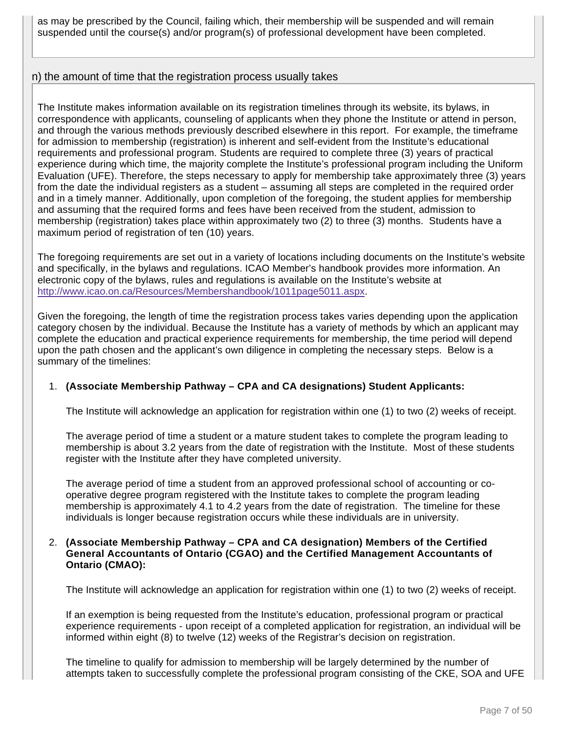as may be prescribed by the Council, failing which, their membership will be suspended and will remain suspended until the course(s) and/or program(s) of professional development have been completed.

### n) the amount of time that the registration process usually takes

The Institute makes information available on its registration timelines through its website, its bylaws, in correspondence with applicants, counseling of applicants when they phone the Institute or attend in person, and through the various methods previously described elsewhere in this report. For example, the timeframe for admission to membership (registration) is inherent and self-evident from the Institute's educational requirements and professional program. Students are required to complete three (3) years of practical experience during which time, the majority complete the Institute's professional program including the Uniform Evaluation (UFE). Therefore, the steps necessary to apply for membership take approximately three (3) years from the date the individual registers as a student – assuming all steps are completed in the required order and in a timely manner. Additionally, upon completion of the foregoing, the student applies for membership and assuming that the required forms and fees have been received from the student, admission to membership (registration) takes place within approximately two (2) to three (3) months. Students have a maximum period of registration of ten (10) years.

The foregoing requirements are set out in a variety of locations including documents on the Institute's website and specifically, in the bylaws and regulations. ICAO Member's handbook provides more information. An electronic copy of the bylaws, rules and regulations is available on the Institute's website at http://www.icao.on.ca/Resources/Membershandbook/1011page5011.aspx.

Given the foregoing, the length of time the registration process takes varies depending upon the application category chosen by the individual. Because the Institute has a variety of methods by which an applicant may complete the education and practical experience requirements for membership, the time period will depend upon the path chosen and the applicant's own diligence in completing the necessary steps. Below is a summary of the timelines:

#### 1. **(Associate Membership Pathway – CPA and CA designations) Student Applicants:**

The Institute will acknowledge an application for registration within one (1) to two (2) weeks of receipt.

The average period of time a student or a mature student takes to complete the program leading to membership is about 3.2 years from the date of registration with the Institute. Most of these students register with the Institute after they have completed university.

The average period of time a student from an approved professional school of accounting or cooperative degree program registered with the Institute takes to complete the program leading membership is approximately 4.1 to 4.2 years from the date of registration. The timeline for these individuals is longer because registration occurs while these individuals are in university.

#### 2. **(Associate Membership Pathway – CPA and CA designation) Members of the Certified General Accountants of Ontario (CGAO) and the Certified Management Accountants of Ontario (CMAO):**

The Institute will acknowledge an application for registration within one (1) to two (2) weeks of receipt.

If an exemption is being requested from the Institute's education, professional program or practical experience requirements - upon receipt of a completed application for registration, an individual will be informed within eight (8) to twelve (12) weeks of the Registrar's decision on registration.

The timeline to qualify for admission to membership will be largely determined by the number of attempts taken to successfully complete the professional program consisting of the CKE, SOA and UFE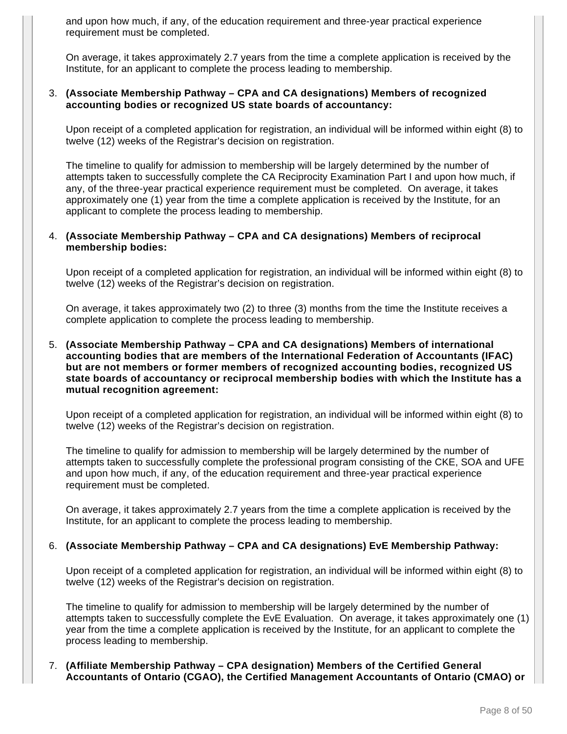and upon how much, if any, of the education requirement and three-year practical experience requirement must be completed.

On average, it takes approximately 2.7 years from the time a complete application is received by the Institute, for an applicant to complete the process leading to membership.

#### 3. **(Associate Membership Pathway – CPA and CA designations) Members of recognized accounting bodies or recognized US state boards of accountancy:**

Upon receipt of a completed application for registration, an individual will be informed within eight (8) to twelve (12) weeks of the Registrar's decision on registration.

The timeline to qualify for admission to membership will be largely determined by the number of attempts taken to successfully complete the CA Reciprocity Examination Part I and upon how much, if any, of the three-year practical experience requirement must be completed. On average, it takes approximately one (1) year from the time a complete application is received by the Institute, for an applicant to complete the process leading to membership.

#### 4. **(Associate Membership Pathway – CPA and CA designations) Members of reciprocal membership bodies:**

Upon receipt of a completed application for registration, an individual will be informed within eight (8) to twelve (12) weeks of the Registrar's decision on registration.

On average, it takes approximately two (2) to three (3) months from the time the Institute receives a complete application to complete the process leading to membership.

5. **(Associate Membership Pathway – CPA and CA designations) Members of international accounting bodies that are members of the International Federation of Accountants (IFAC) but are not members or former members of recognized accounting bodies, recognized US state boards of accountancy or reciprocal membership bodies with which the Institute has a mutual recognition agreement:**

Upon receipt of a completed application for registration, an individual will be informed within eight (8) to twelve (12) weeks of the Registrar's decision on registration.

The timeline to qualify for admission to membership will be largely determined by the number of attempts taken to successfully complete the professional program consisting of the CKE, SOA and UFE and upon how much, if any, of the education requirement and three-year practical experience requirement must be completed.

On average, it takes approximately 2.7 years from the time a complete application is received by the Institute, for an applicant to complete the process leading to membership.

#### 6. **(Associate Membership Pathway – CPA and CA designations) EvE Membership Pathway:**

Upon receipt of a completed application for registration, an individual will be informed within eight (8) to twelve (12) weeks of the Registrar's decision on registration.

The timeline to qualify for admission to membership will be largely determined by the number of attempts taken to successfully complete the EvE Evaluation. On average, it takes approximately one (1) year from the time a complete application is received by the Institute, for an applicant to complete the process leading to membership.

7. **(Affiliate Membership Pathway – CPA designation) Members of the Certified General Accountants of Ontario (CGAO), the Certified Management Accountants of Ontario (CMAO) or**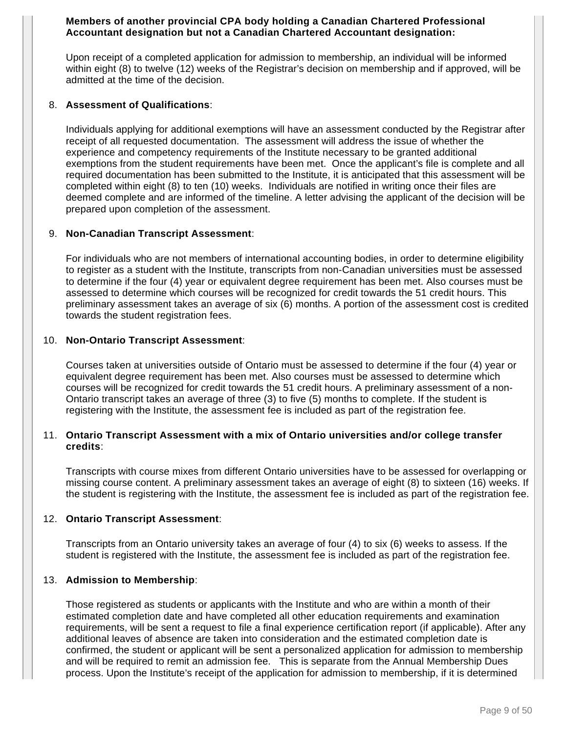#### **Members of another provincial CPA body holding a Canadian Chartered Professional Accountant designation but not a Canadian Chartered Accountant designation:**

Upon receipt of a completed application for admission to membership, an individual will be informed within eight (8) to twelve (12) weeks of the Registrar's decision on membership and if approved, will be admitted at the time of the decision.

#### 8. **Assessment of Qualifications**:

Individuals applying for additional exemptions will have an assessment conducted by the Registrar after receipt of all requested documentation. The assessment will address the issue of whether the experience and competency requirements of the Institute necessary to be granted additional exemptions from the student requirements have been met. Once the applicant's file is complete and all required documentation has been submitted to the Institute, it is anticipated that this assessment will be completed within eight (8) to ten (10) weeks. Individuals are notified in writing once their files are deemed complete and are informed of the timeline. A letter advising the applicant of the decision will be prepared upon completion of the assessment.

#### 9. **Non-Canadian Transcript Assessment**:

For individuals who are not members of international accounting bodies, in order to determine eligibility to register as a student with the Institute, transcripts from non-Canadian universities must be assessed to determine if the four (4) year or equivalent degree requirement has been met. Also courses must be assessed to determine which courses will be recognized for credit towards the 51 credit hours. This preliminary assessment takes an average of six (6) months. A portion of the assessment cost is credited towards the student registration fees.

#### 10. **Non-Ontario Transcript Assessment**:

Courses taken at universities outside of Ontario must be assessed to determine if the four (4) year or equivalent degree requirement has been met. Also courses must be assessed to determine which courses will be recognized for credit towards the 51 credit hours. A preliminary assessment of a non-Ontario transcript takes an average of three (3) to five (5) months to complete. If the student is registering with the Institute, the assessment fee is included as part of the registration fee.

#### 11. **Ontario Transcript Assessment with a mix of Ontario universities and/or college transfer credits**:

Transcripts with course mixes from different Ontario universities have to be assessed for overlapping or missing course content. A preliminary assessment takes an average of eight (8) to sixteen (16) weeks. If the student is registering with the Institute, the assessment fee is included as part of the registration fee.

### 12. **Ontario Transcript Assessment**:

Transcripts from an Ontario university takes an average of four (4) to six (6) weeks to assess. If the student is registered with the Institute, the assessment fee is included as part of the registration fee.

#### 13. **Admission to Membership**:

Those registered as students or applicants with the Institute and who are within a month of their estimated completion date and have completed all other education requirements and examination requirements, will be sent a request to file a final experience certification report (if applicable). After any additional leaves of absence are taken into consideration and the estimated completion date is confirmed, the student or applicant will be sent a personalized application for admission to membership and will be required to remit an admission fee. This is separate from the Annual Membership Dues process. Upon the Institute's receipt of the application for admission to membership, if it is determined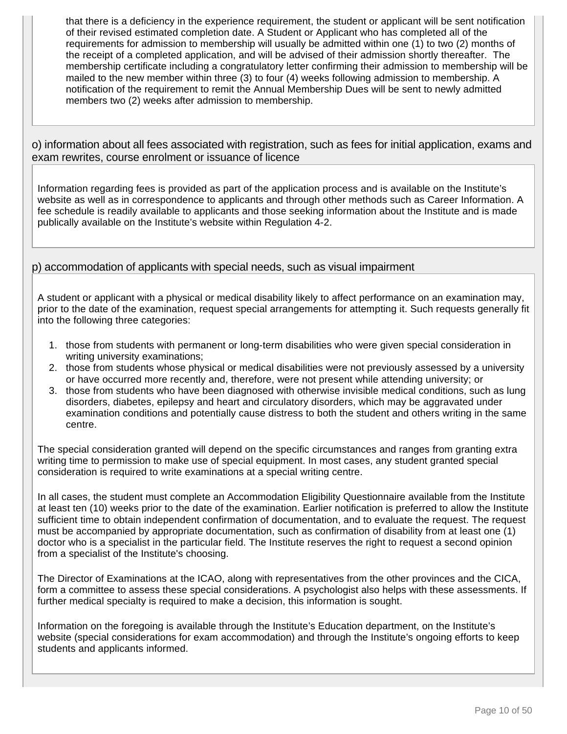that there is a deficiency in the experience requirement, the student or applicant will be sent notification of their revised estimated completion date. A Student or Applicant who has completed all of the requirements for admission to membership will usually be admitted within one (1) to two (2) months of the receipt of a completed application, and will be advised of their admission shortly thereafter. The membership certificate including a congratulatory letter confirming their admission to membership will be mailed to the new member within three (3) to four (4) weeks following admission to membership. A notification of the requirement to remit the Annual Membership Dues will be sent to newly admitted members two (2) weeks after admission to membership.

o) information about all fees associated with registration, such as fees for initial application, exams and exam rewrites, course enrolment or issuance of licence

Information regarding fees is provided as part of the application process and is available on the Institute's website as well as in correspondence to applicants and through other methods such as Career Information. A fee schedule is readily available to applicants and those seeking information about the Institute and is made publically available on the Institute's website within Regulation 4-2.

### p) accommodation of applicants with special needs, such as visual impairment

A student or applicant with a physical or medical disability likely to affect performance on an examination may, prior to the date of the examination, request special arrangements for attempting it. Such requests generally fit into the following three categories:

- 1. those from students with permanent or long-term disabilities who were given special consideration in writing university examinations;
- 2. those from students whose physical or medical disabilities were not previously assessed by a university or have occurred more recently and, therefore, were not present while attending university; or
- 3. those from students who have been diagnosed with otherwise invisible medical conditions, such as lung disorders, diabetes, epilepsy and heart and circulatory disorders, which may be aggravated under examination conditions and potentially cause distress to both the student and others writing in the same centre.

The special consideration granted will depend on the specific circumstances and ranges from granting extra writing time to permission to make use of special equipment. In most cases, any student granted special consideration is required to write examinations at a special writing centre.

In all cases, the student must complete an Accommodation Eligibility Questionnaire available from the Institute at least ten (10) weeks prior to the date of the examination. Earlier notification is preferred to allow the Institute sufficient time to obtain independent confirmation of documentation, and to evaluate the request. The request must be accompanied by appropriate documentation, such as confirmation of disability from at least one (1) doctor who is a specialist in the particular field. The Institute reserves the right to request a second opinion from a specialist of the Institute's choosing.

The Director of Examinations at the ICAO, along with representatives from the other provinces and the CICA, form a committee to assess these special considerations. A psychologist also helps with these assessments. If further medical specialty is required to make a decision, this information is sought.

Information on the foregoing is available through the Institute's Education department, on the Institute's website (special considerations for exam accommodation) and through the Institute's ongoing efforts to keep students and applicants informed.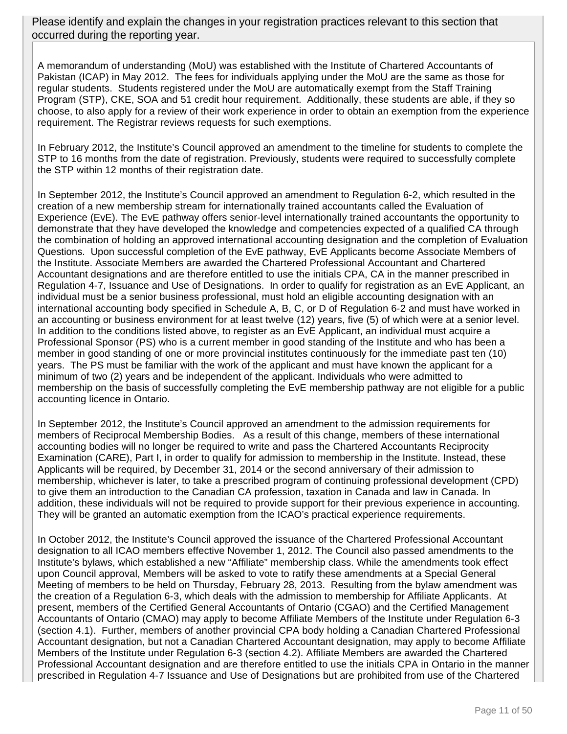Please identify and explain the changes in your registration practices relevant to this section that occurred during the reporting year.

A memorandum of understanding (MoU) was established with the Institute of Chartered Accountants of Pakistan (ICAP) in May 2012. The fees for individuals applying under the MoU are the same as those for regular students. Students registered under the MoU are automatically exempt from the Staff Training Program (STP), CKE, SOA and 51 credit hour requirement. Additionally, these students are able, if they so choose, to also apply for a review of their work experience in order to obtain an exemption from the experience requirement. The Registrar reviews requests for such exemptions.

In February 2012, the Institute's Council approved an amendment to the timeline for students to complete the STP to 16 months from the date of registration. Previously, students were required to successfully complete the STP within 12 months of their registration date.

In September 2012, the Institute's Council approved an amendment to Regulation 6-2, which resulted in the creation of a new membership stream for internationally trained accountants called the Evaluation of Experience (EvE). The EvE pathway offers senior-level internationally trained accountants the opportunity to demonstrate that they have developed the knowledge and competencies expected of a qualified CA through the combination of holding an approved international accounting designation and the completion of Evaluation Questions. Upon successful completion of the EvE pathway, EvE Applicants become Associate Members of the Institute. Associate Members are awarded the Chartered Professional Accountant and Chartered Accountant designations and are therefore entitled to use the initials CPA, CA in the manner prescribed in Regulation 4-7, Issuance and Use of Designations. In order to qualify for registration as an EvE Applicant, an individual must be a senior business professional, must hold an eligible accounting designation with an international accounting body specified in Schedule A, B, C, or D of Regulation 6-2 and must have worked in an accounting or business environment for at least twelve (12) years, five (5) of which were at a senior level. In addition to the conditions listed above, to register as an EvE Applicant, an individual must acquire a Professional Sponsor (PS) who is a current member in good standing of the Institute and who has been a member in good standing of one or more provincial institutes continuously for the immediate past ten (10) years. The PS must be familiar with the work of the applicant and must have known the applicant for a minimum of two (2) years and be independent of the applicant. Individuals who were admitted to membership on the basis of successfully completing the EvE membership pathway are not eligible for a public accounting licence in Ontario.

In September 2012, the Institute's Council approved an amendment to the admission requirements for members of Reciprocal Membership Bodies. As a result of this change, members of these international accounting bodies will no longer be required to write and pass the Chartered Accountants Reciprocity Examination (CARE), Part I, in order to qualify for admission to membership in the Institute. Instead, these Applicants will be required, by December 31, 2014 or the second anniversary of their admission to membership, whichever is later, to take a prescribed program of continuing professional development (CPD) to give them an introduction to the Canadian CA profession, taxation in Canada and law in Canada. In addition, these individuals will not be required to provide support for their previous experience in accounting. They will be granted an automatic exemption from the ICAO's practical experience requirements.

In October 2012, the Institute's Council approved the issuance of the Chartered Professional Accountant designation to all ICAO members effective November 1, 2012. The Council also passed amendments to the Institute's bylaws, which established a new "Affiliate" membership class. While the amendments took effect upon Council approval, Members will be asked to vote to ratify these amendments at a Special General Meeting of members to be held on Thursday, February 28, 2013. Resulting from the bylaw amendment was the creation of a Regulation 6-3, which deals with the admission to membership for Affiliate Applicants. At present, members of the Certified General Accountants of Ontario (CGAO) and the Certified Management Accountants of Ontario (CMAO) may apply to become Affiliate Members of the Institute under Regulation 6-3 (section 4.1). Further, members of another provincial CPA body holding a Canadian Chartered Professional Accountant designation, but not a Canadian Chartered Accountant designation, may apply to become Affiliate Members of the Institute under Regulation 6-3 (section 4.2). Affiliate Members are awarded the Chartered Professional Accountant designation and are therefore entitled to use the initials CPA in Ontario in the manner prescribed in Regulation 4-7 Issuance and Use of Designations but are prohibited from use of the Chartered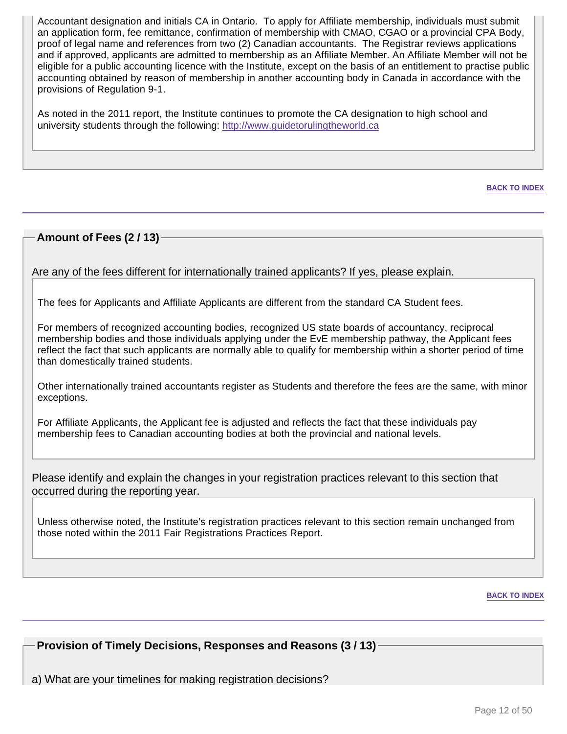Accountant designation and initials CA in Ontario. To apply for Affiliate membership, individuals must submit an application form, fee remittance, confirmation of membership with CMAO, CGAO or a provincial CPA Body, proof of legal name and references from two (2) Canadian accountants. The Registrar reviews applications and if approved, applicants are admitted to membership as an Affiliate Member. An Affiliate Member will not be eligible for a public accounting licence with the Institute, except on the basis of an entitlement to practise public accounting obtained by reason of membership in another accounting body in Canada in accordance with the provisions of Regulation 9-1.

As noted in the 2011 report, the Institute continues to promote the CA designation to high school and university students through the following: http://www.guidetorulingtheworld.ca

**BACK TO INDEX**

### **Amount of Fees (2 / 13)**

Are any of the fees different for internationally trained applicants? If yes, please explain.

The fees for Applicants and Affiliate Applicants are different from the standard CA Student fees.

For members of recognized accounting bodies, recognized US state boards of accountancy, reciprocal membership bodies and those individuals applying under the EvE membership pathway, the Applicant fees reflect the fact that such applicants are normally able to qualify for membership within a shorter period of time than domestically trained students.

Other internationally trained accountants register as Students and therefore the fees are the same, with minor exceptions.

For Affiliate Applicants, the Applicant fee is adjusted and reflects the fact that these individuals pay membership fees to Canadian accounting bodies at both the provincial and national levels.

Please identify and explain the changes in your registration practices relevant to this section that occurred during the reporting year.

Unless otherwise noted, the Institute's registration practices relevant to this section remain unchanged from those noted within the 2011 Fair Registrations Practices Report.

#### **BACK TO INDEX**

**Provision of Timely Decisions, Responses and Reasons (3 / 13)**

a) What are your timelines for making registration decisions?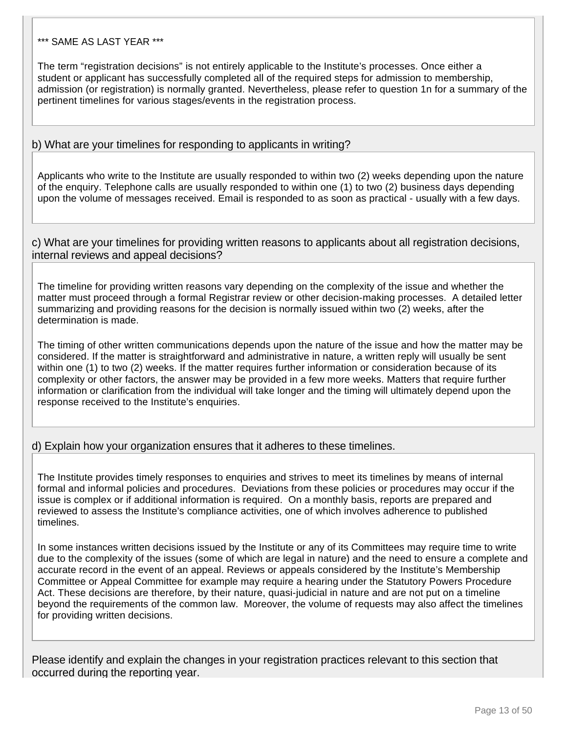### \*\*\* SAME AS LAST YEAR \*\*\*

The term "registration decisions" is not entirely applicable to the Institute's processes. Once either a student or applicant has successfully completed all of the required steps for admission to membership, admission (or registration) is normally granted. Nevertheless, please refer to question 1n for a summary of the pertinent timelines for various stages/events in the registration process.

#### b) What are your timelines for responding to applicants in writing?

Applicants who write to the Institute are usually responded to within two (2) weeks depending upon the nature of the enquiry. Telephone calls are usually responded to within one (1) to two (2) business days depending upon the volume of messages received. Email is responded to as soon as practical - usually with a few days.

#### c) What are your timelines for providing written reasons to applicants about all registration decisions, internal reviews and appeal decisions?

The timeline for providing written reasons vary depending on the complexity of the issue and whether the matter must proceed through a formal Registrar review or other decision-making processes. A detailed letter summarizing and providing reasons for the decision is normally issued within two (2) weeks, after the determination is made.

The timing of other written communications depends upon the nature of the issue and how the matter may be considered. If the matter is straightforward and administrative in nature, a written reply will usually be sent within one (1) to two (2) weeks. If the matter requires further information or consideration because of its complexity or other factors, the answer may be provided in a few more weeks. Matters that require further information or clarification from the individual will take longer and the timing will ultimately depend upon the response received to the Institute's enquiries.

### d) Explain how your organization ensures that it adheres to these timelines.

The Institute provides timely responses to enquiries and strives to meet its timelines by means of internal formal and informal policies and procedures. Deviations from these policies or procedures may occur if the issue is complex or if additional information is required. On a monthly basis, reports are prepared and reviewed to assess the Institute's compliance activities, one of which involves adherence to published timelines.

In some instances written decisions issued by the Institute or any of its Committees may require time to write due to the complexity of the issues (some of which are legal in nature) and the need to ensure a complete and accurate record in the event of an appeal. Reviews or appeals considered by the Institute's Membership Committee or Appeal Committee for example may require a hearing under the Statutory Powers Procedure Act. These decisions are therefore, by their nature, quasi-judicial in nature and are not put on a timeline beyond the requirements of the common law. Moreover, the volume of requests may also affect the timelines for providing written decisions.

Please identify and explain the changes in your registration practices relevant to this section that occurred during the reporting year.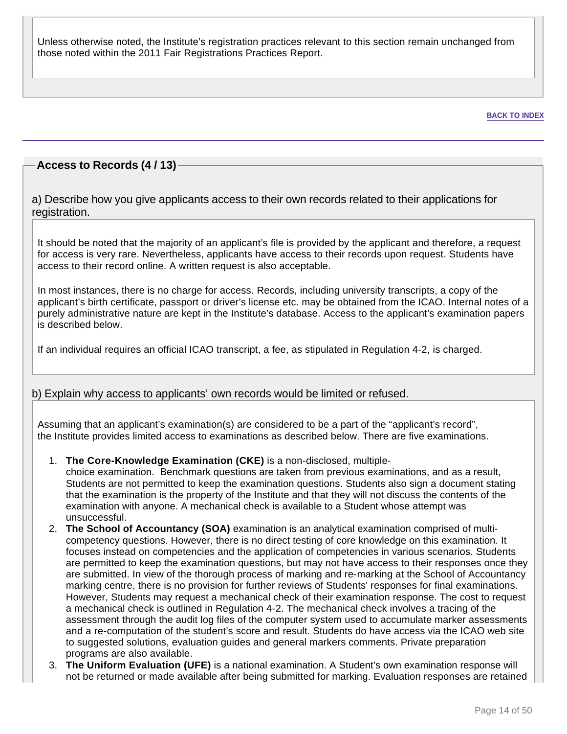Unless otherwise noted, the Institute's registration practices relevant to this section remain unchanged from those noted within the 2011 Fair Registrations Practices Report.

#### **BACK TO INDEX**

### **Access to Records (4 / 13)**

a) Describe how you give applicants access to their own records related to their applications for registration.

It should be noted that the majority of an applicant's file is provided by the applicant and therefore, a request for access is very rare. Nevertheless, applicants have access to their records upon request. Students have access to their record online. A written request is also acceptable.

In most instances, there is no charge for access. Records, including university transcripts, a copy of the applicant's birth certificate, passport or driver's license etc. may be obtained from the ICAO. Internal notes of a purely administrative nature are kept in the Institute's database. Access to the applicant's examination papers is described below.

If an individual requires an official ICAO transcript, a fee, as stipulated in Regulation 4-2, is charged.

### b) Explain why access to applicants' own records would be limited or refused.

Assuming that an applicant's examination(s) are considered to be a part of the "applicant's record", the Institute provides limited access to examinations as described below. There are five examinations.

1. **The Core-Knowledge Examination (CKE)** is a non-disclosed, multiple-

choice examination. Benchmark questions are taken from previous examinations, and as a result, Students are not permitted to keep the examination questions. Students also sign a document stating that the examination is the property of the Institute and that they will not discuss the contents of the examination with anyone. A mechanical check is available to a Student whose attempt was unsuccessful.

- 2. **The School of Accountancy (SOA)** examination is an analytical examination comprised of multicompetency questions. However, there is no direct testing of core knowledge on this examination. It focuses instead on competencies and the application of competencies in various scenarios. Students are permitted to keep the examination questions, but may not have access to their responses once they are submitted. In view of the thorough process of marking and re-marking at the School of Accountancy marking centre, there is no provision for further reviews of Students' responses for final examinations. However, Students may request a mechanical check of their examination response. The cost to request a mechanical check is outlined in Regulation 4-2. The mechanical check involves a tracing of the assessment through the audit log files of the computer system used to accumulate marker assessments and a re-computation of the student's score and result. Students do have access via the ICAO web site to suggested solutions, evaluation guides and general markers comments. Private preparation programs are also available.
- 3. **The Uniform Evaluation (UFE)** is a national examination. A Student's own examination response will not be returned or made available after being submitted for marking. Evaluation responses are retained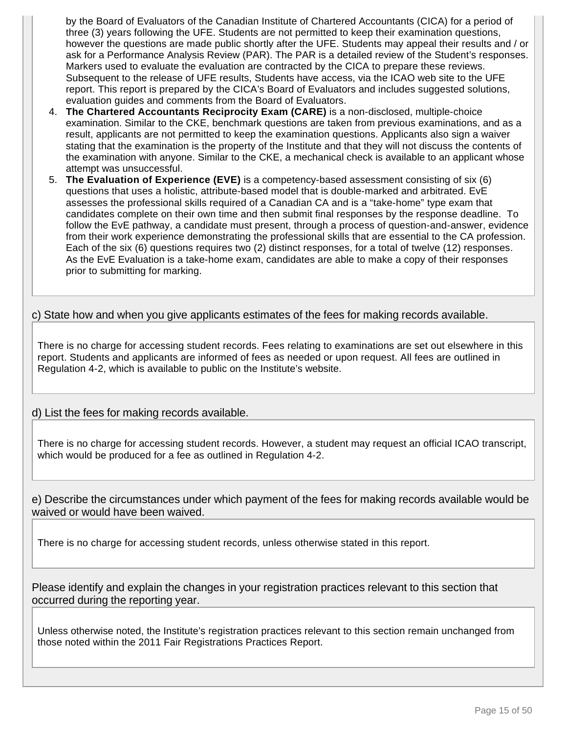by the Board of Evaluators of the Canadian Institute of Chartered Accountants (CICA) for a period of three (3) years following the UFE. Students are not permitted to keep their examination questions, however the questions are made public shortly after the UFE. Students may appeal their results and / or ask for a Performance Analysis Review (PAR). The PAR is a detailed review of the Student's responses. Markers used to evaluate the evaluation are contracted by the CICA to prepare these reviews. Subsequent to the release of UFE results, Students have access, via the ICAO web site to the UFE report. This report is prepared by the CICA's Board of Evaluators and includes suggested solutions, evaluation guides and comments from the Board of Evaluators.

- 4. **The Chartered Accountants Reciprocity Exam (CARE)** is a non-disclosed, multiple-choice examination. Similar to the CKE, benchmark questions are taken from previous examinations, and as a result, applicants are not permitted to keep the examination questions. Applicants also sign a waiver stating that the examination is the property of the Institute and that they will not discuss the contents of the examination with anyone. Similar to the CKE, a mechanical check is available to an applicant whose attempt was unsuccessful.
- 5. **The Evaluation of Experience (EVE)** is a competency-based assessment consisting of six (6) questions that uses a holistic, attribute-based model that is double-marked and arbitrated. EvE assesses the professional skills required of a Canadian CA and is a "take-home" type exam that candidates complete on their own time and then submit final responses by the response deadline. To follow the EvE pathway, a candidate must present, through a process of question-and-answer, evidence from their work experience demonstrating the professional skills that are essential to the CA profession. Each of the six (6) questions requires two (2) distinct responses, for a total of twelve (12) responses. As the EvE Evaluation is a take-home exam, candidates are able to make a copy of their responses prior to submitting for marking.

### c) State how and when you give applicants estimates of the fees for making records available.

There is no charge for accessing student records. Fees relating to examinations are set out elsewhere in this report. Students and applicants are informed of fees as needed or upon request. All fees are outlined in Regulation 4-2, which is available to public on the Institute's website.

d) List the fees for making records available.

There is no charge for accessing student records. However, a student may request an official ICAO transcript, which would be produced for a fee as outlined in Regulation 4-2.

e) Describe the circumstances under which payment of the fees for making records available would be waived or would have been waived.

There is no charge for accessing student records, unless otherwise stated in this report.

Please identify and explain the changes in your registration practices relevant to this section that occurred during the reporting year.

Unless otherwise noted, the Institute's registration practices relevant to this section remain unchanged from those noted within the 2011 Fair Registrations Practices Report.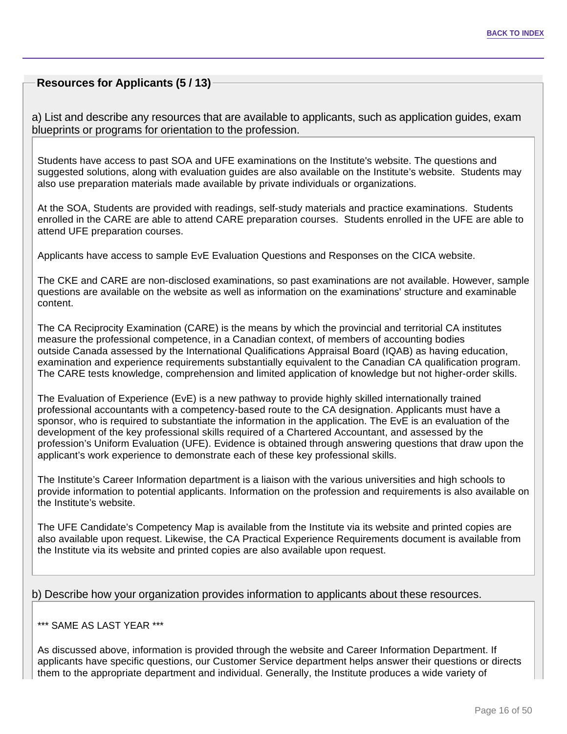### **Resources for Applicants (5 / 13)**

a) List and describe any resources that are available to applicants, such as application guides, exam blueprints or programs for orientation to the profession.

Students have access to past SOA and UFE examinations on the Institute's website. The questions and suggested solutions, along with evaluation guides are also available on the Institute's website. Students may also use preparation materials made available by private individuals or organizations.

At the SOA, Students are provided with readings, self-study materials and practice examinations. Students enrolled in the CARE are able to attend CARE preparation courses. Students enrolled in the UFE are able to attend UFE preparation courses.

Applicants have access to sample EvE Evaluation Questions and Responses on the CICA website.

The CKE and CARE are non-disclosed examinations, so past examinations are not available. However, sample questions are available on the website as well as information on the examinations' structure and examinable content.

The CA Reciprocity Examination (CARE) is the means by which the provincial and territorial CA institutes measure the professional competence, in a Canadian context, of members of accounting bodies outside Canada assessed by the International Qualifications Appraisal Board (IQAB) as having education, examination and experience requirements substantially equivalent to the Canadian CA qualification program. The CARE tests knowledge, comprehension and limited application of knowledge but not higher-order skills.

The Evaluation of Experience (EvE) is a new pathway to provide highly skilled internationally trained professional accountants with a competency-based route to the CA designation. Applicants must have a sponsor, who is required to substantiate the information in the application. The EvE is an evaluation of the development of the key professional skills required of a Chartered Accountant, and assessed by the profession's Uniform Evaluation (UFE). Evidence is obtained through answering questions that draw upon the applicant's work experience to demonstrate each of these key professional skills.

The Institute's Career Information department is a liaison with the various universities and high schools to provide information to potential applicants. Information on the profession and requirements is also available on the Institute's website.

The UFE Candidate's Competency Map is available from the Institute via its website and printed copies are also available upon request. Likewise, the CA Practical Experience Requirements document is available from the Institute via its website and printed copies are also available upon request.

### b) Describe how your organization provides information to applicants about these resources.

#### \*\*\* SAME AS LAST YEAR \*\*\*

As discussed above, information is provided through the website and Career Information Department. If applicants have specific questions, our Customer Service department helps answer their questions or directs them to the appropriate department and individual. Generally, the Institute produces a wide variety of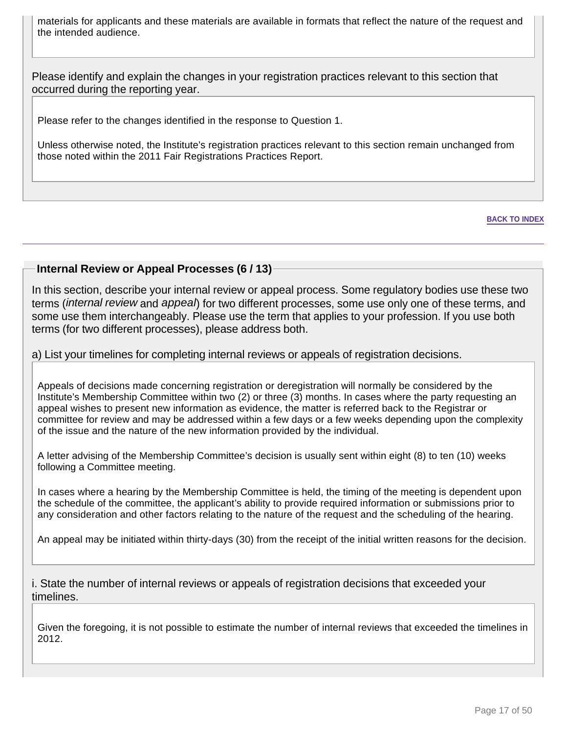materials for applicants and these materials are available in formats that reflect the nature of the request and the intended audience.

Please identify and explain the changes in your registration practices relevant to this section that occurred during the reporting year.

Please refer to the changes identified in the response to Question 1.

Unless otherwise noted, the Institute's registration practices relevant to this section remain unchanged from those noted within the 2011 Fair Registrations Practices Report.

#### **BACK TO INDEX**

### **Internal Review or Appeal Processes (6 / 13)**

In this section, describe your internal review or appeal process. Some regulatory bodies use these two terms (*internal review* and appeal) for two different processes, some use only one of these terms, and some use them interchangeably. Please use the term that applies to your profession. If you use both terms (for two different processes), please address both.

### a) List your timelines for completing internal reviews or appeals of registration decisions.

Appeals of decisions made concerning registration or deregistration will normally be considered by the Institute's Membership Committee within two (2) or three (3) months. In cases where the party requesting an appeal wishes to present new information as evidence, the matter is referred back to the Registrar or committee for review and may be addressed within a few days or a few weeks depending upon the complexity of the issue and the nature of the new information provided by the individual.

A letter advising of the Membership Committee's decision is usually sent within eight (8) to ten (10) weeks following a Committee meeting.

In cases where a hearing by the Membership Committee is held, the timing of the meeting is dependent upon the schedule of the committee, the applicant's ability to provide required information or submissions prior to any consideration and other factors relating to the nature of the request and the scheduling of the hearing.

An appeal may be initiated within thirty-days (30) from the receipt of the initial written reasons for the decision.

i. State the number of internal reviews or appeals of registration decisions that exceeded your timelines.

Given the foregoing, it is not possible to estimate the number of internal reviews that exceeded the timelines in 2012.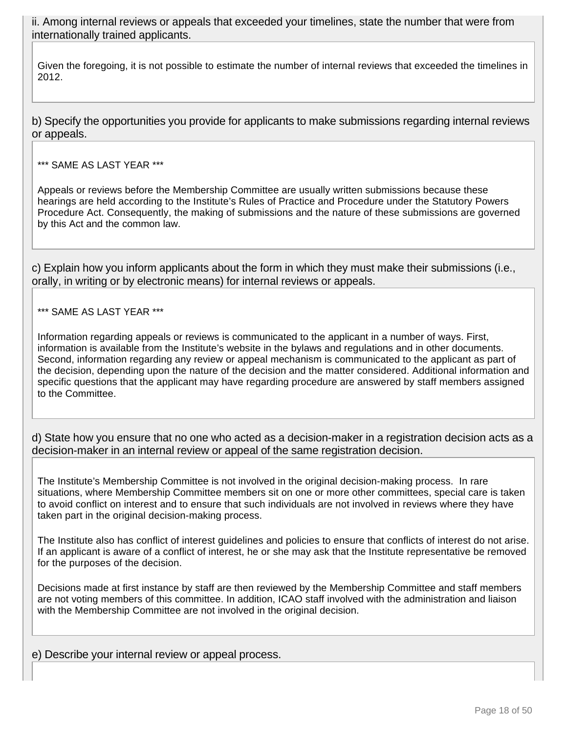ii. Among internal reviews or appeals that exceeded your timelines, state the number that were from internationally trained applicants.

Given the foregoing, it is not possible to estimate the number of internal reviews that exceeded the timelines in 2012.

b) Specify the opportunities you provide for applicants to make submissions regarding internal reviews or appeals.

\*\*\* SAME AS LAST YEAR \*\*\*

Appeals or reviews before the Membership Committee are usually written submissions because these hearings are held according to the Institute's Rules of Practice and Procedure under the Statutory Powers Procedure Act. Consequently, the making of submissions and the nature of these submissions are governed by this Act and the common law.

c) Explain how you inform applicants about the form in which they must make their submissions (i.e., orally, in writing or by electronic means) for internal reviews or appeals.

#### \*\*\* SAME AS LAST YEAR \*\*\*

Information regarding appeals or reviews is communicated to the applicant in a number of ways. First, information is available from the Institute's website in the bylaws and regulations and in other documents. Second, information regarding any review or appeal mechanism is communicated to the applicant as part of the decision, depending upon the nature of the decision and the matter considered. Additional information and specific questions that the applicant may have regarding procedure are answered by staff members assigned to the Committee.

d) State how you ensure that no one who acted as a decision-maker in a registration decision acts as a decision-maker in an internal review or appeal of the same registration decision.

The Institute's Membership Committee is not involved in the original decision-making process. In rare situations, where Membership Committee members sit on one or more other committees, special care is taken to avoid conflict on interest and to ensure that such individuals are not involved in reviews where they have taken part in the original decision-making process.

The Institute also has conflict of interest guidelines and policies to ensure that conflicts of interest do not arise. If an applicant is aware of a conflict of interest, he or she may ask that the Institute representative be removed for the purposes of the decision.

Decisions made at first instance by staff are then reviewed by the Membership Committee and staff members are not voting members of this committee. In addition, ICAO staff involved with the administration and liaison with the Membership Committee are not involved in the original decision.

e) Describe your internal review or appeal process.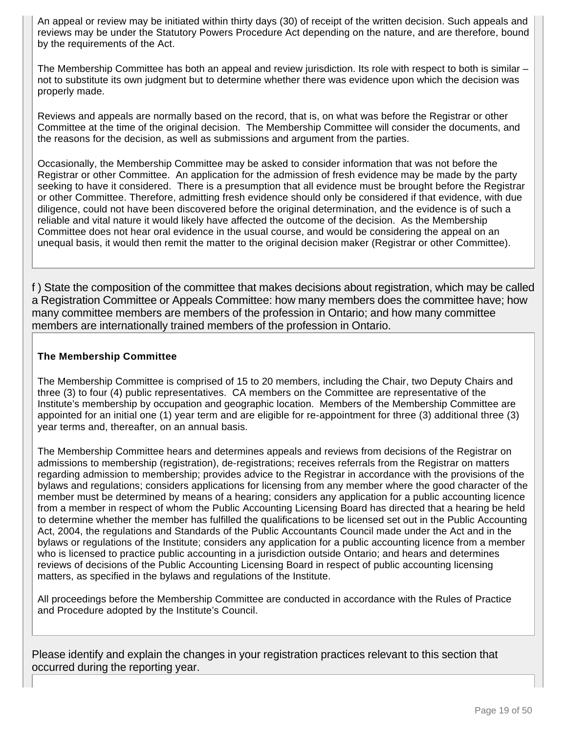An appeal or review may be initiated within thirty days (30) of receipt of the written decision. Such appeals and reviews may be under the Statutory Powers Procedure Act depending on the nature, and are therefore, bound by the requirements of the Act.

The Membership Committee has both an appeal and review jurisdiction. Its role with respect to both is similar – not to substitute its own judgment but to determine whether there was evidence upon which the decision was properly made.

Reviews and appeals are normally based on the record, that is, on what was before the Registrar or other Committee at the time of the original decision. The Membership Committee will consider the documents, and the reasons for the decision, as well as submissions and argument from the parties.

Occasionally, the Membership Committee may be asked to consider information that was not before the Registrar or other Committee. An application for the admission of fresh evidence may be made by the party seeking to have it considered. There is a presumption that all evidence must be brought before the Registrar or other Committee. Therefore, admitting fresh evidence should only be considered if that evidence, with due diligence, could not have been discovered before the original determination, and the evidence is of such a reliable and vital nature it would likely have affected the outcome of the decision. As the Membership Committee does not hear oral evidence in the usual course, and would be considering the appeal on an unequal basis, it would then remit the matter to the original decision maker (Registrar or other Committee).

f ) State the composition of the committee that makes decisions about registration, which may be called a Registration Committee or Appeals Committee: how many members does the committee have; how many committee members are members of the profession in Ontario; and how many committee members are internationally trained members of the profession in Ontario.

### **The Membership Committee**

The Membership Committee is comprised of 15 to 20 members, including the Chair, two Deputy Chairs and three (3) to four (4) public representatives. CA members on the Committee are representative of the Institute's membership by occupation and geographic location. Members of the Membership Committee are appointed for an initial one (1) year term and are eligible for re-appointment for three (3) additional three (3) year terms and, thereafter, on an annual basis.

The Membership Committee hears and determines appeals and reviews from decisions of the Registrar on admissions to membership (registration), de-registrations; receives referrals from the Registrar on matters regarding admission to membership; provides advice to the Registrar in accordance with the provisions of the bylaws and regulations; considers applications for licensing from any member where the good character of the member must be determined by means of a hearing; considers any application for a public accounting licence from a member in respect of whom the Public Accounting Licensing Board has directed that a hearing be held to determine whether the member has fulfilled the qualifications to be licensed set out in the Public Accounting Act, 2004, the regulations and Standards of the Public Accountants Council made under the Act and in the bylaws or regulations of the Institute; considers any application for a public accounting licence from a member who is licensed to practice public accounting in a jurisdiction outside Ontario; and hears and determines reviews of decisions of the Public Accounting Licensing Board in respect of public accounting licensing matters, as specified in the bylaws and regulations of the Institute.

All proceedings before the Membership Committee are conducted in accordance with the Rules of Practice and Procedure adopted by the Institute's Council.

Please identify and explain the changes in your registration practices relevant to this section that occurred during the reporting year.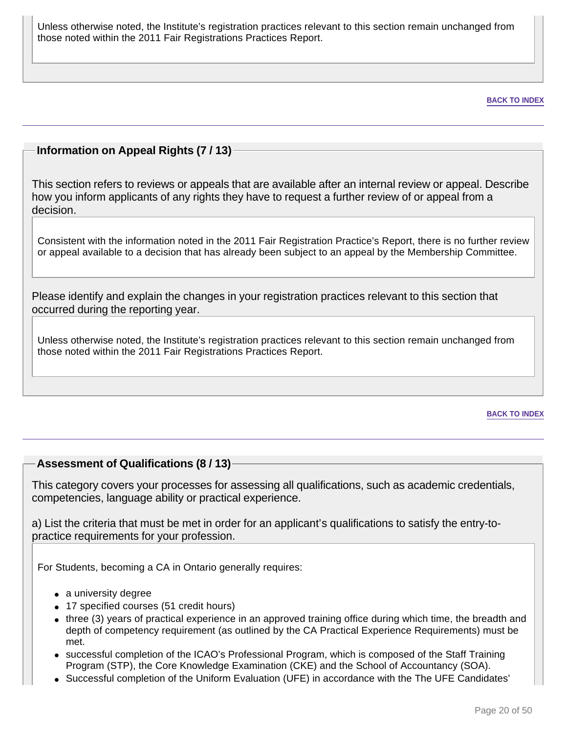Unless otherwise noted, the Institute's registration practices relevant to this section remain unchanged from those noted within the 2011 Fair Registrations Practices Report.

**BACK TO INDEX**

### **Information on Appeal Rights (7 / 13)**

This section refers to reviews or appeals that are available after an internal review or appeal. Describe how you inform applicants of any rights they have to request a further review of or appeal from a decision.

Consistent with the information noted in the 2011 Fair Registration Practice's Report, there is no further review or appeal available to a decision that has already been subject to an appeal by the Membership Committee.

Please identify and explain the changes in your registration practices relevant to this section that occurred during the reporting year.

Unless otherwise noted, the Institute's registration practices relevant to this section remain unchanged from those noted within the 2011 Fair Registrations Practices Report.

**BACK TO INDEX**

### **Assessment of Qualifications (8 / 13)**

This category covers your processes for assessing all qualifications, such as academic credentials, competencies, language ability or practical experience.

a) List the criteria that must be met in order for an applicant's qualifications to satisfy the entry-topractice requirements for your profession.

For Students, becoming a CA in Ontario generally requires:

- a university degree
- 17 specified courses (51 credit hours)
- three (3) years of practical experience in an approved training office during which time, the breadth and depth of competency requirement (as outlined by the CA Practical Experience Requirements) must be met.
- successful completion of the ICAO's Professional Program, which is composed of the Staff Training Program (STP), the Core Knowledge Examination (CKE) and the School of Accountancy (SOA).
- Successful completion of the Uniform Evaluation (UFE) in accordance with the The UFE Candidates'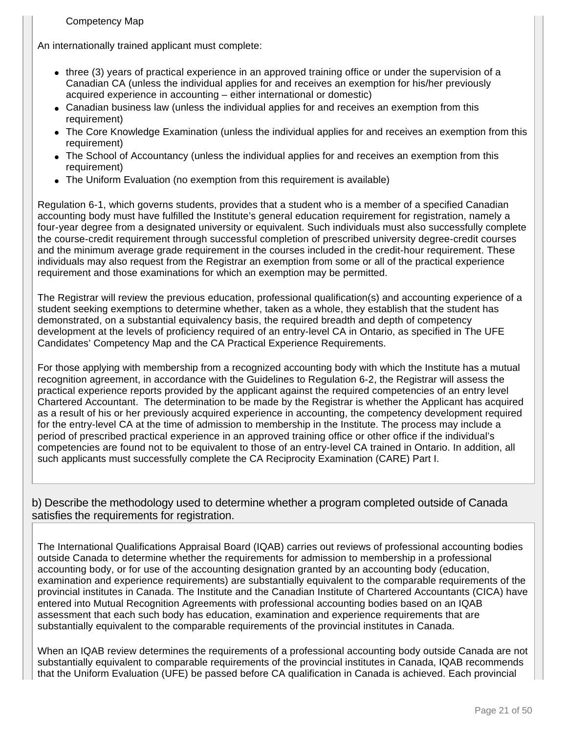#### Competency Map

An internationally trained applicant must complete:

- three (3) years of practical experience in an approved training office or under the supervision of a Canadian CA (unless the individual applies for and receives an exemption for his/her previously acquired experience in accounting – either international or domestic)
- Canadian business law (unless the individual applies for and receives an exemption from this requirement)
- The Core Knowledge Examination (unless the individual applies for and receives an exemption from this requirement)
- The School of Accountancy (unless the individual applies for and receives an exemption from this requirement)
- The Uniform Evaluation (no exemption from this requirement is available)

Regulation 6-1, which governs students, provides that a student who is a member of a specified Canadian accounting body must have fulfilled the Institute's general education requirement for registration, namely a four-year degree from a designated university or equivalent. Such individuals must also successfully complete the course-credit requirement through successful completion of prescribed university degree-credit courses and the minimum average grade requirement in the courses included in the credit-hour requirement. These individuals may also request from the Registrar an exemption from some or all of the practical experience requirement and those examinations for which an exemption may be permitted.

The Registrar will review the previous education, professional qualification(s) and accounting experience of a student seeking exemptions to determine whether, taken as a whole, they establish that the student has demonstrated, on a substantial equivalency basis, the required breadth and depth of competency development at the levels of proficiency required of an entry-level CA in Ontario, as specified in The UFE Candidates' Competency Map and the CA Practical Experience Requirements.

For those applying with membership from a recognized accounting body with which the Institute has a mutual recognition agreement, in accordance with the Guidelines to Regulation 6-2, the Registrar will assess the practical experience reports provided by the applicant against the required competencies of an entry level Chartered Accountant. The determination to be made by the Registrar is whether the Applicant has acquired as a result of his or her previously acquired experience in accounting, the competency development required for the entry-level CA at the time of admission to membership in the Institute. The process may include a period of prescribed practical experience in an approved training office or other office if the individual's competencies are found not to be equivalent to those of an entry-level CA trained in Ontario. In addition, all such applicants must successfully complete the CA Reciprocity Examination (CARE) Part I.

b) Describe the methodology used to determine whether a program completed outside of Canada satisfies the requirements for registration.

The International Qualifications Appraisal Board (IQAB) carries out reviews of professional accounting bodies outside Canada to determine whether the requirements for admission to membership in a professional accounting body, or for use of the accounting designation granted by an accounting body (education, examination and experience requirements) are substantially equivalent to the comparable requirements of the provincial institutes in Canada. The Institute and the Canadian Institute of Chartered Accountants (CICA) have entered into Mutual Recognition Agreements with professional accounting bodies based on an IQAB assessment that each such body has education, examination and experience requirements that are substantially equivalent to the comparable requirements of the provincial institutes in Canada.

When an IQAB review determines the requirements of a professional accounting body outside Canada are not substantially equivalent to comparable requirements of the provincial institutes in Canada, IQAB recommends that the Uniform Evaluation (UFE) be passed before CA qualification in Canada is achieved. Each provincial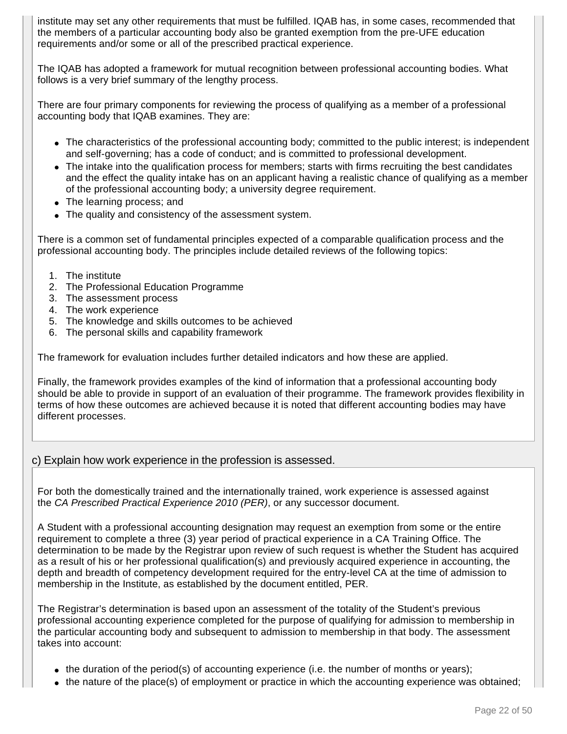institute may set any other requirements that must be fulfilled. IQAB has, in some cases, recommended that the members of a particular accounting body also be granted exemption from the pre-UFE education requirements and/or some or all of the prescribed practical experience.

The IQAB has adopted a framework for mutual recognition between professional accounting bodies. What follows is a very brief summary of the lengthy process.

There are four primary components for reviewing the process of qualifying as a member of a professional accounting body that IQAB examines. They are:

- The characteristics of the professional accounting body; committed to the public interest; is independent and self-governing; has a code of conduct; and is committed to professional development.
- The intake into the qualification process for members; starts with firms recruiting the best candidates and the effect the quality intake has on an applicant having a realistic chance of qualifying as a member of the professional accounting body; a university degree requirement.
- The learning process; and
- The quality and consistency of the assessment system.

There is a common set of fundamental principles expected of a comparable qualification process and the professional accounting body. The principles include detailed reviews of the following topics:

- 1. The institute
- 2. The Professional Education Programme
- 3. The assessment process
- 4. The work experience
- 5. The knowledge and skills outcomes to be achieved
- 6. The personal skills and capability framework

The framework for evaluation includes further detailed indicators and how these are applied.

Finally, the framework provides examples of the kind of information that a professional accounting body should be able to provide in support of an evaluation of their programme. The framework provides flexibility in terms of how these outcomes are achieved because it is noted that different accounting bodies may have different processes.

### c) Explain how work experience in the profession is assessed.

For both the domestically trained and the internationally trained, work experience is assessed against the CA Prescribed Practical Experience 2010 (PER), or any successor document.

A Student with a professional accounting designation may request an exemption from some or the entire requirement to complete a three (3) year period of practical experience in a CA Training Office. The determination to be made by the Registrar upon review of such request is whether the Student has acquired as a result of his or her professional qualification(s) and previously acquired experience in accounting, the depth and breadth of competency development required for the entry-level CA at the time of admission to membership in the Institute, as established by the document entitled, PER.

The Registrar's determination is based upon an assessment of the totality of the Student's previous professional accounting experience completed for the purpose of qualifying for admission to membership in the particular accounting body and subsequent to admission to membership in that body. The assessment takes into account:

- $\bullet$  the duration of the period(s) of accounting experience (i.e. the number of months or years);
- the nature of the place(s) of employment or practice in which the accounting experience was obtained;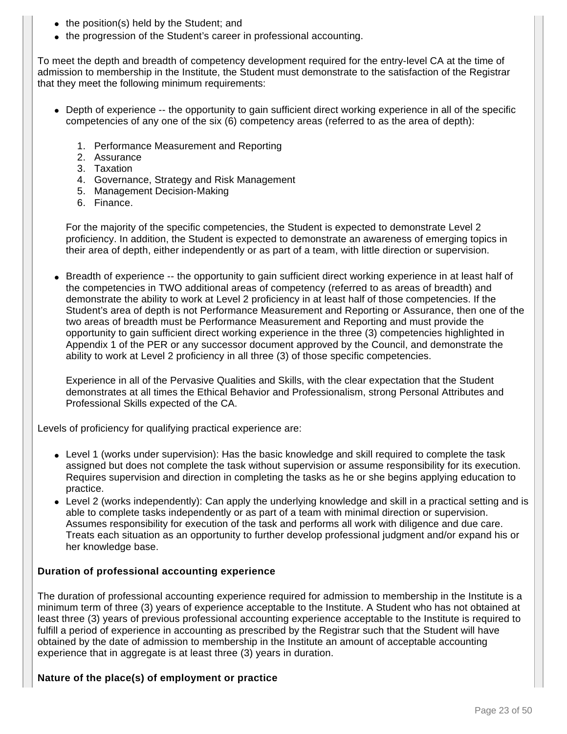- the position(s) held by the Student; and
- the progression of the Student's career in professional accounting.

To meet the depth and breadth of competency development required for the entry-level CA at the time of admission to membership in the Institute, the Student must demonstrate to the satisfaction of the Registrar that they meet the following minimum requirements:

- Depth of experience -- the opportunity to gain sufficient direct working experience in all of the specific competencies of any one of the six (6) competency areas (referred to as the area of depth):
	- 1. Performance Measurement and Reporting
	- 2. Assurance
	- 3. Taxation
	- 4. Governance, Strategy and Risk Management
	- 5. Management Decision-Making
	- 6. Finance.

For the majority of the specific competencies, the Student is expected to demonstrate Level 2 proficiency. In addition, the Student is expected to demonstrate an awareness of emerging topics in their area of depth, either independently or as part of a team, with little direction or supervision.

● Breadth of experience -- the opportunity to gain sufficient direct working experience in at least half of the competencies in TWO additional areas of competency (referred to as areas of breadth) and demonstrate the ability to work at Level 2 proficiency in at least half of those competencies. If the Student's area of depth is not Performance Measurement and Reporting or Assurance, then one of the two areas of breadth must be Performance Measurement and Reporting and must provide the opportunity to gain sufficient direct working experience in the three (3) competencies highlighted in Appendix 1 of the PER or any successor document approved by the Council, and demonstrate the ability to work at Level 2 proficiency in all three (3) of those specific competencies.

Experience in all of the Pervasive Qualities and Skills, with the clear expectation that the Student demonstrates at all times the Ethical Behavior and Professionalism, strong Personal Attributes and Professional Skills expected of the CA.

Levels of proficiency for qualifying practical experience are:

- Level 1 (works under supervision): Has the basic knowledge and skill required to complete the task assigned but does not complete the task without supervision or assume responsibility for its execution. Requires supervision and direction in completing the tasks as he or she begins applying education to practice.
- Level 2 (works independently): Can apply the underlying knowledge and skill in a practical setting and is able to complete tasks independently or as part of a team with minimal direction or supervision. Assumes responsibility for execution of the task and performs all work with diligence and due care. Treats each situation as an opportunity to further develop professional judgment and/or expand his or her knowledge base.

#### **Duration of professional accounting experience**

The duration of professional accounting experience required for admission to membership in the Institute is a minimum term of three (3) years of experience acceptable to the Institute. A Student who has not obtained at least three (3) years of previous professional accounting experience acceptable to the Institute is required to fulfill a period of experience in accounting as prescribed by the Registrar such that the Student will have obtained by the date of admission to membership in the Institute an amount of acceptable accounting experience that in aggregate is at least three (3) years in duration.

#### **Nature of the place(s) of employment or practice**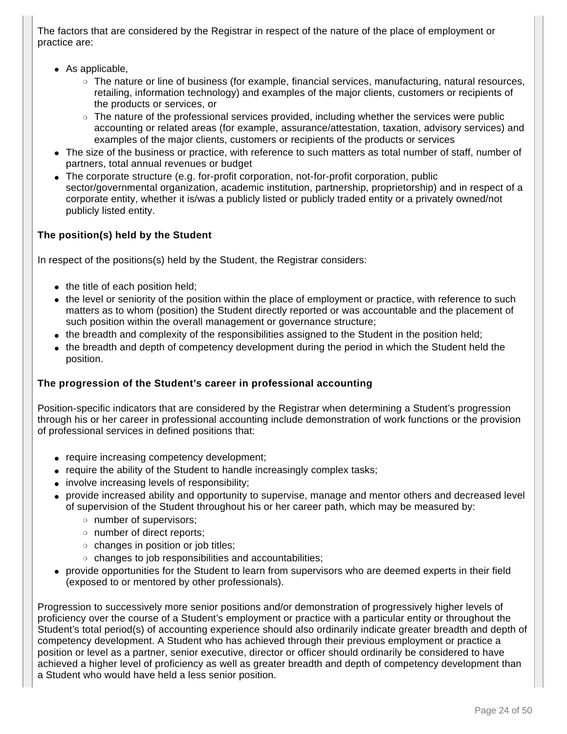The factors that are considered by the Registrar in respect of the nature of the place of employment or practice are:

- $\bullet$  As applicable,
	- ❍ The nature or line of business (for example, financial services, manufacturing, natural resources, retailing, information technology) and examples of the major clients, customers or recipients of the products or services, or
	- $\circ$  The nature of the professional services provided, including whether the services were public accounting or related areas (for example, assurance/attestation, taxation, advisory services) and examples of the major clients, customers or recipients of the products or services
- The size of the business or practice, with reference to such matters as total number of staff, number of partners, total annual revenues or budget
- The corporate structure (e.g. for-profit corporation, not-for-profit corporation, public sector/governmental organization, academic institution, partnership, proprietorship) and in respect of a corporate entity, whether it is/was a publicly listed or publicly traded entity or a privately owned/not publicly listed entity.

### **The position(s) held by the Student**

In respect of the positions(s) held by the Student, the Registrar considers:

- $\bullet$  the title of each position held;
- the level or seniority of the position within the place of employment or practice, with reference to such matters as to whom (position) the Student directly reported or was accountable and the placement of such position within the overall management or governance structure;
- the breadth and complexity of the responsibilities assigned to the Student in the position held;
- the breadth and depth of competency development during the period in which the Student held the position.

#### **The progression of the Student's career in professional accounting**

Position-specific indicators that are considered by the Registrar when determining a Student's progression through his or her career in professional accounting include demonstration of work functions or the provision of professional services in defined positions that:

- require increasing competency development;
- require the ability of the Student to handle increasingly complex tasks;
- involve increasing levels of responsibility;
- provide increased ability and opportunity to supervise, manage and mentor others and decreased level of supervision of the Student throughout his or her career path, which may be measured by:
	- ❍ number of supervisors;
	- ❍ number of direct reports;
	- ❍ changes in position or job titles;
	- ❍ changes to job responsibilities and accountabilities;
- provide opportunities for the Student to learn from supervisors who are deemed experts in their field (exposed to or mentored by other professionals).

Progression to successively more senior positions and/or demonstration of progressively higher levels of proficiency over the course of a Student's employment or practice with a particular entity or throughout the Student's total period(s) of accounting experience should also ordinarily indicate greater breadth and depth of competency development. A Student who has achieved through their previous employment or practice a position or level as a partner, senior executive, director or officer should ordinarily be considered to have achieved a higher level of proficiency as well as greater breadth and depth of competency development than a Student who would have held a less senior position.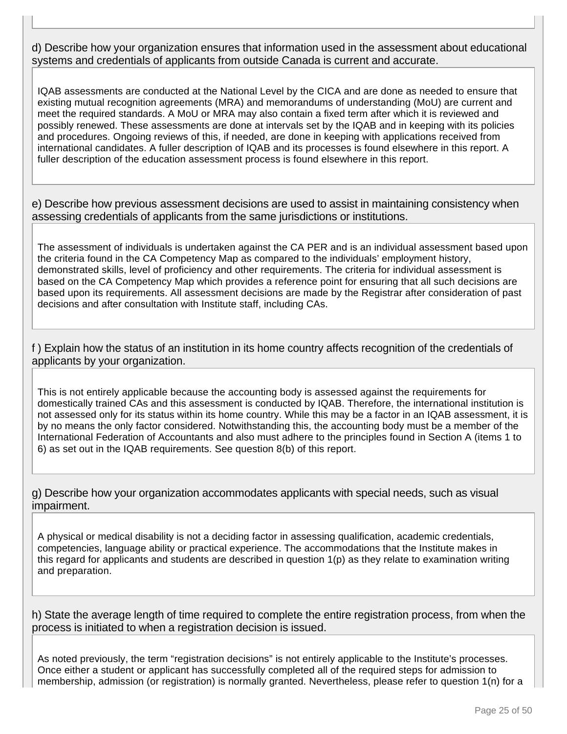### d) Describe how your organization ensures that information used in the assessment about educational systems and credentials of applicants from outside Canada is current and accurate.

IQAB assessments are conducted at the National Level by the CICA and are done as needed to ensure that existing mutual recognition agreements (MRA) and memorandums of understanding (MoU) are current and meet the required standards. A MoU or MRA may also contain a fixed term after which it is reviewed and possibly renewed. These assessments are done at intervals set by the IQAB and in keeping with its policies and procedures. Ongoing reviews of this, if needed, are done in keeping with applications received from international candidates. A fuller description of IQAB and its processes is found elsewhere in this report. A fuller description of the education assessment process is found elsewhere in this report.

e) Describe how previous assessment decisions are used to assist in maintaining consistency when assessing credentials of applicants from the same jurisdictions or institutions.

The assessment of individuals is undertaken against the CA PER and is an individual assessment based upon the criteria found in the CA Competency Map as compared to the individuals' employment history, demonstrated skills, level of proficiency and other requirements. The criteria for individual assessment is based on the CA Competency Map which provides a reference point for ensuring that all such decisions are based upon its requirements. All assessment decisions are made by the Registrar after consideration of past decisions and after consultation with Institute staff, including CAs.

f ) Explain how the status of an institution in its home country affects recognition of the credentials of applicants by your organization.

This is not entirely applicable because the accounting body is assessed against the requirements for domestically trained CAs and this assessment is conducted by IQAB. Therefore, the international institution is not assessed only for its status within its home country. While this may be a factor in an IQAB assessment, it is by no means the only factor considered. Notwithstanding this, the accounting body must be a member of the International Federation of Accountants and also must adhere to the principles found in Section A (items 1 to 6) as set out in the IQAB requirements. See question 8(b) of this report.

g) Describe how your organization accommodates applicants with special needs, such as visual impairment.

A physical or medical disability is not a deciding factor in assessing qualification, academic credentials, competencies, language ability or practical experience. The accommodations that the Institute makes in this regard for applicants and students are described in question 1(p) as they relate to examination writing and preparation.

h) State the average length of time required to complete the entire registration process, from when the process is initiated to when a registration decision is issued.

As noted previously, the term "registration decisions" is not entirely applicable to the Institute's processes. Once either a student or applicant has successfully completed all of the required steps for admission to membership, admission (or registration) is normally granted. Nevertheless, please refer to question 1(n) for a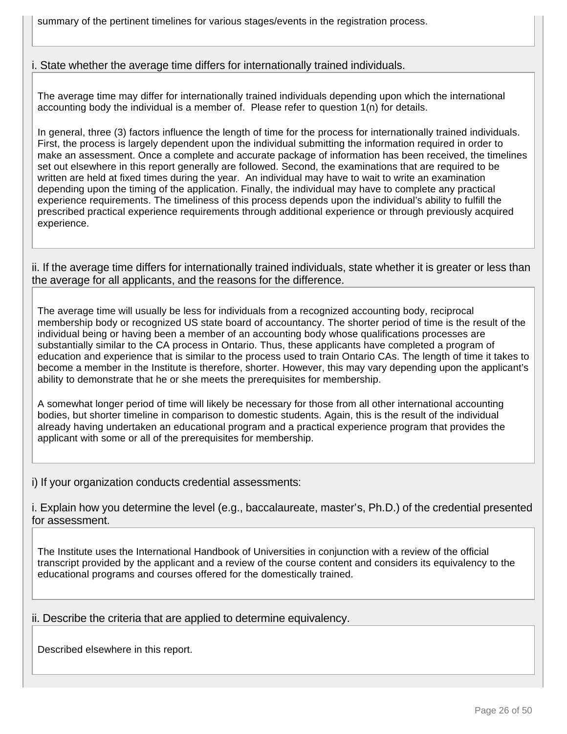summary of the pertinent timelines for various stages/events in the registration process.

i. State whether the average time differs for internationally trained individuals.

The average time may differ for internationally trained individuals depending upon which the international accounting body the individual is a member of. Please refer to question 1(n) for details.

In general, three (3) factors influence the length of time for the process for internationally trained individuals. First, the process is largely dependent upon the individual submitting the information required in order to make an assessment. Once a complete and accurate package of information has been received, the timelines set out elsewhere in this report generally are followed. Second, the examinations that are required to be written are held at fixed times during the year. An individual may have to wait to write an examination depending upon the timing of the application. Finally, the individual may have to complete any practical experience requirements. The timeliness of this process depends upon the individual's ability to fulfill the prescribed practical experience requirements through additional experience or through previously acquired experience.

ii. If the average time differs for internationally trained individuals, state whether it is greater or less than the average for all applicants, and the reasons for the difference.

The average time will usually be less for individuals from a recognized accounting body, reciprocal membership body or recognized US state board of accountancy. The shorter period of time is the result of the individual being or having been a member of an accounting body whose qualifications processes are substantially similar to the CA process in Ontario. Thus, these applicants have completed a program of education and experience that is similar to the process used to train Ontario CAs. The length of time it takes to become a member in the Institute is therefore, shorter. However, this may vary depending upon the applicant's ability to demonstrate that he or she meets the prerequisites for membership.

A somewhat longer period of time will likely be necessary for those from all other international accounting bodies, but shorter timeline in comparison to domestic students. Again, this is the result of the individual already having undertaken an educational program and a practical experience program that provides the applicant with some or all of the prerequisites for membership.

i) If your organization conducts credential assessments:

i. Explain how you determine the level (e.g., baccalaureate, master's, Ph.D.) of the credential presented for assessment.

The Institute uses the International Handbook of Universities in conjunction with a review of the official transcript provided by the applicant and a review of the course content and considers its equivalency to the educational programs and courses offered for the domestically trained.

ii. Describe the criteria that are applied to determine equivalency.

Described elsewhere in this report.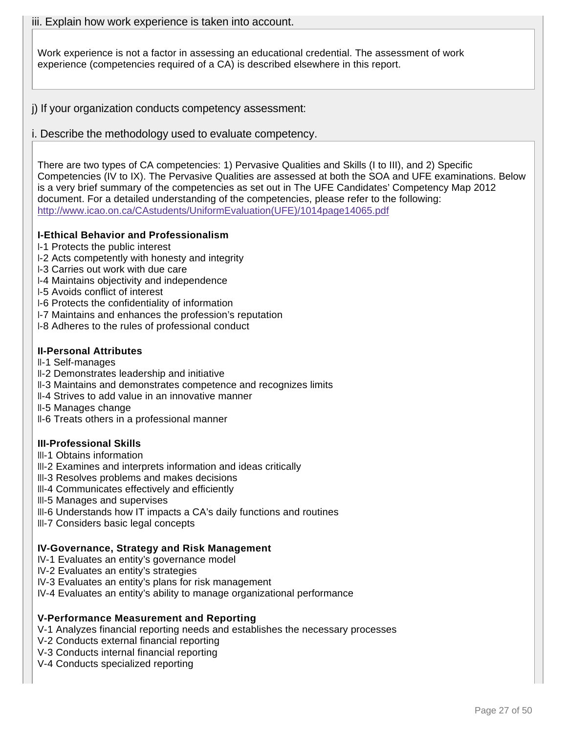iii. Explain how work experience is taken into account.

Work experience is not a factor in assessing an educational credential. The assessment of work experience (competencies required of a CA) is described elsewhere in this report.

j) If your organization conducts competency assessment:

i. Describe the methodology used to evaluate competency.

There are two types of CA competencies: 1) Pervasive Qualities and Skills (I to III), and 2) Specific Competencies (IV to IX). The Pervasive Qualities are assessed at both the SOA and UFE examinations. Below is a very brief summary of the competencies as set out in The UFE Candidates' Competency Map 2012 document. For a detailed understanding of the competencies, please refer to the following: http://www.icao.on.ca/CAstudents/UniformEvaluation(UFE)/1014page14065.pdf

### **I-Ethical Behavior and Professionalism**

I-1 Protects the public interest

- I-2 Acts competently with honesty and integrity
- I-3 Carries out work with due care
- I-4 Maintains objectivity and independence
- I-5 Avoids conflict of interest
- I-6 Protects the confidentiality of information
- I-7 Maintains and enhances the profession's reputation
- I-8 Adheres to the rules of professional conduct

### **II-Personal Attributes**

- II-1 Self-manages
- II-2 Demonstrates leadership and initiative
- II-3 Maintains and demonstrates competence and recognizes limits
- II-4 Strives to add value in an innovative manner
- II-5 Manages change
- II-6 Treats others in a professional manner

### **III-Professional Skills**

- III-1 Obtains information
- III-2 Examines and interprets information and ideas critically
- III-3 Resolves problems and makes decisions
- III-4 Communicates effectively and efficiently
- III-5 Manages and supervises
- III-6 Understands how IT impacts a CA's daily functions and routines
- III-7 Considers basic legal concepts

#### **IV-Governance, Strategy and Risk Management**

- IV-1 Evaluates an entity's governance model
- IV-2 Evaluates an entity's strategies
- IV-3 Evaluates an entity's plans for risk management
- IV-4 Evaluates an entity's ability to manage organizational performance

### **V-Performance Measurement and Reporting**

V-1 Analyzes financial reporting needs and establishes the necessary processes

- V-2 Conducts external financial reporting
- V-3 Conducts internal financial reporting
- V-4 Conducts specialized reporting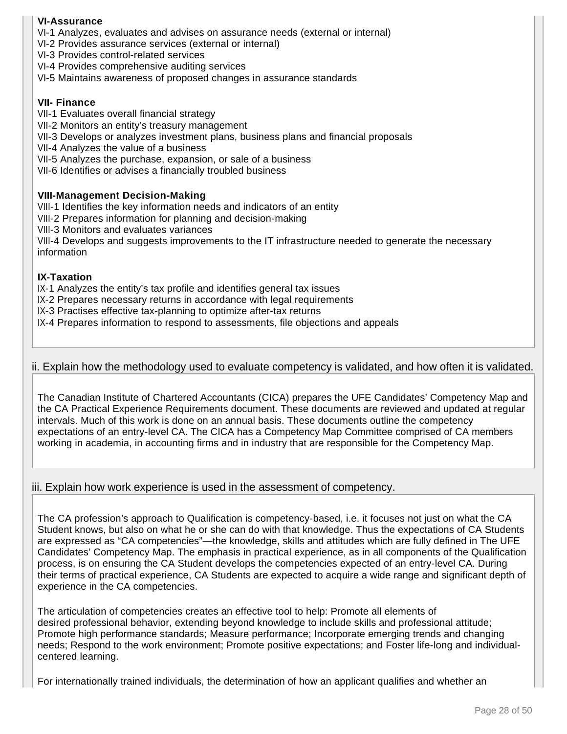### **VI-Assurance**

VI-1 Analyzes, evaluates and advises on assurance needs (external or internal)

- VI-2 Provides assurance services (external or internal)
- VI-3 Provides control-related services
- VI-4 Provides comprehensive auditing services
- VI-5 Maintains awareness of proposed changes in assurance standards

#### **VII- Finance**

VII-1 Evaluates overall financial strategy

- VII-2 Monitors an entity's treasury management
- VII-3 Develops or analyzes investment plans, business plans and financial proposals
- VII-4 Analyzes the value of a business
- VII-5 Analyzes the purchase, expansion, or sale of a business
- VII-6 Identifies or advises a financially troubled business

#### **VIII-Management Decision-Making**

VIII-1 Identifies the key information needs and indicators of an entity

VIII-2 Prepares information for planning and decision-making

VIII-3 Monitors and evaluates variances

VIII-4 Develops and suggests improvements to the IT infrastructure needed to generate the necessary information

#### **IX-Taxation**

IX-1 Analyzes the entity's tax profile and identifies general tax issues

IX-2 Prepares necessary returns in accordance with legal requirements

IX-3 Practises effective tax-planning to optimize after-tax returns

IX-4 Prepares information to respond to assessments, file objections and appeals

#### ii. Explain how the methodology used to evaluate competency is validated, and how often it is validated.

The Canadian Institute of Chartered Accountants (CICA) prepares the UFE Candidates' Competency Map and the CA Practical Experience Requirements document. These documents are reviewed and updated at regular intervals. Much of this work is done on an annual basis. These documents outline the competency expectations of an entry-level CA. The CICA has a Competency Map Committee comprised of CA members working in academia, in accounting firms and in industry that are responsible for the Competency Map.

#### iii. Explain how work experience is used in the assessment of competency.

The CA profession's approach to Qualification is competency-based, i.e. it focuses not just on what the CA Student knows, but also on what he or she can do with that knowledge. Thus the expectations of CA Students are expressed as "CA competencies"—the knowledge, skills and attitudes which are fully defined in The UFE Candidates' Competency Map. The emphasis in practical experience, as in all components of the Qualification process, is on ensuring the CA Student develops the competencies expected of an entry-level CA. During their terms of practical experience, CA Students are expected to acquire a wide range and significant depth of experience in the CA competencies.

The articulation of competencies creates an effective tool to help: Promote all elements of desired professional behavior, extending beyond knowledge to include skills and professional attitude; Promote high performance standards; Measure performance; Incorporate emerging trends and changing needs; Respond to the work environment; Promote positive expectations; and Foster life-long and individualcentered learning.

For internationally trained individuals, the determination of how an applicant qualifies and whether an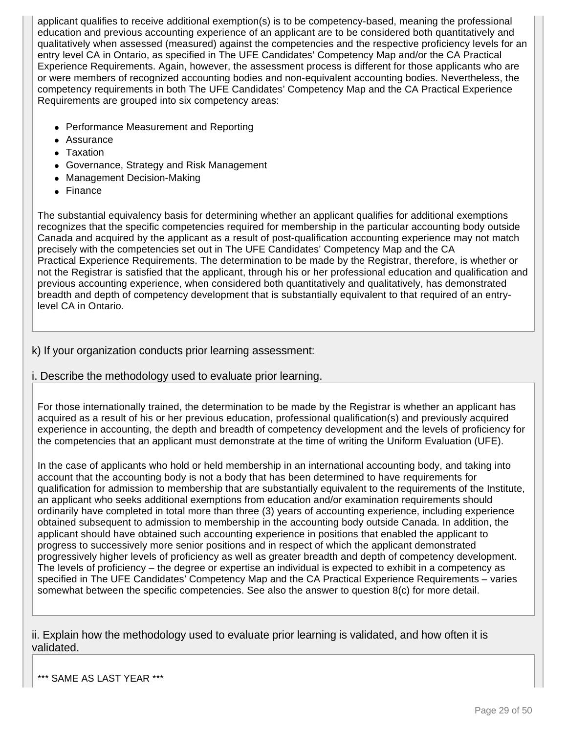applicant qualifies to receive additional exemption(s) is to be competency-based, meaning the professional education and previous accounting experience of an applicant are to be considered both quantitatively and qualitatively when assessed (measured) against the competencies and the respective proficiency levels for an entry level CA in Ontario, as specified in The UFE Candidates' Competency Map and/or the CA Practical Experience Requirements. Again, however, the assessment process is different for those applicants who are or were members of recognized accounting bodies and non-equivalent accounting bodies. Nevertheless, the competency requirements in both The UFE Candidates' Competency Map and the CA Practical Experience Requirements are grouped into six competency areas:

- Performance Measurement and Reporting
- Assurance
- Taxation
- Governance, Strategy and Risk Management
- Management Decision-Making
- Finance

The substantial equivalency basis for determining whether an applicant qualifies for additional exemptions recognizes that the specific competencies required for membership in the particular accounting body outside Canada and acquired by the applicant as a result of post-qualification accounting experience may not match precisely with the competencies set out in The UFE Candidates' Competency Map and the CA Practical Experience Requirements. The determination to be made by the Registrar, therefore, is whether or not the Registrar is satisfied that the applicant, through his or her professional education and qualification and previous accounting experience, when considered both quantitatively and qualitatively, has demonstrated breadth and depth of competency development that is substantially equivalent to that required of an entrylevel CA in Ontario.

### k) If your organization conducts prior learning assessment:

i. Describe the methodology used to evaluate prior learning.

For those internationally trained, the determination to be made by the Registrar is whether an applicant has acquired as a result of his or her previous education, professional qualification(s) and previously acquired experience in accounting, the depth and breadth of competency development and the levels of proficiency for the competencies that an applicant must demonstrate at the time of writing the Uniform Evaluation (UFE).

In the case of applicants who hold or held membership in an international accounting body, and taking into account that the accounting body is not a body that has been determined to have requirements for qualification for admission to membership that are substantially equivalent to the requirements of the Institute, an applicant who seeks additional exemptions from education and/or examination requirements should ordinarily have completed in total more than three (3) years of accounting experience, including experience obtained subsequent to admission to membership in the accounting body outside Canada. In addition, the applicant should have obtained such accounting experience in positions that enabled the applicant to progress to successively more senior positions and in respect of which the applicant demonstrated progressively higher levels of proficiency as well as greater breadth and depth of competency development. The levels of proficiency – the degree or expertise an individual is expected to exhibit in a competency as specified in The UFE Candidates' Competency Map and the CA Practical Experience Requirements – varies somewhat between the specific competencies. See also the answer to question 8(c) for more detail.

ii. Explain how the methodology used to evaluate prior learning is validated, and how often it is validated.

\*\*\* SAME AS LAST YEAR \*\*\*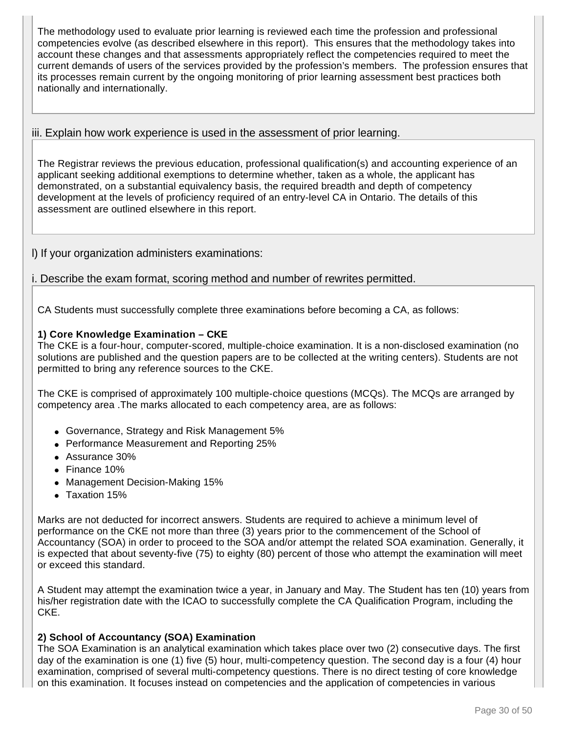The methodology used to evaluate prior learning is reviewed each time the profession and professional competencies evolve (as described elsewhere in this report). This ensures that the methodology takes into account these changes and that assessments appropriately reflect the competencies required to meet the current demands of users of the services provided by the profession's members. The profession ensures that its processes remain current by the ongoing monitoring of prior learning assessment best practices both nationally and internationally.

### iii. Explain how work experience is used in the assessment of prior learning.

The Registrar reviews the previous education, professional qualification(s) and accounting experience of an applicant seeking additional exemptions to determine whether, taken as a whole, the applicant has demonstrated, on a substantial equivalency basis, the required breadth and depth of competency development at the levels of proficiency required of an entry-level CA in Ontario. The details of this assessment are outlined elsewhere in this report.

l) If your organization administers examinations:

i. Describe the exam format, scoring method and number of rewrites permitted.

CA Students must successfully complete three examinations before becoming a CA, as follows:

### **1) Core Knowledge Examination – CKE**

The CKE is a four-hour, computer-scored, multiple-choice examination. It is a non-disclosed examination (no solutions are published and the question papers are to be collected at the writing centers). Students are not permitted to bring any reference sources to the CKE.

The CKE is comprised of approximately 100 multiple-choice questions (MCQs). The MCQs are arranged by competency area .The marks allocated to each competency area, are as follows:

- Governance, Strategy and Risk Management 5%
- Performance Measurement and Reporting 25%
- Assurance 30%
- Finance 10%
- Management Decision-Making 15%
- Taxation 15%

Marks are not deducted for incorrect answers. Students are required to achieve a minimum level of performance on the CKE not more than three (3) years prior to the commencement of the School of Accountancy (SOA) in order to proceed to the SOA and/or attempt the related SOA examination. Generally, it is expected that about seventy-five (75) to eighty (80) percent of those who attempt the examination will meet or exceed this standard.

A Student may attempt the examination twice a year, in January and May. The Student has ten (10) years from his/her registration date with the ICAO to successfully complete the CA Qualification Program, including the CKE.

### **2) School of Accountancy (SOA) Examination**

The SOA Examination is an analytical examination which takes place over two (2) consecutive days. The first day of the examination is one (1) five (5) hour, multi-competency question. The second day is a four (4) hour examination, comprised of several multi-competency questions. There is no direct testing of core knowledge on this examination. It focuses instead on competencies and the application of competencies in various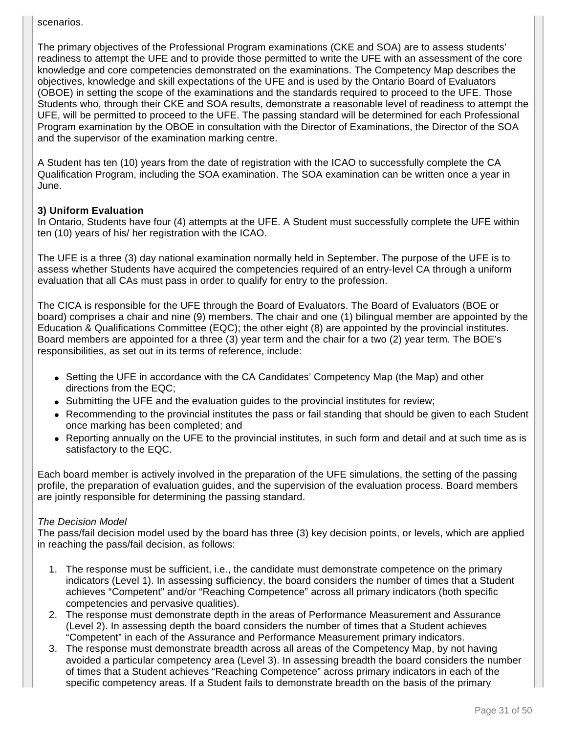scenarios.

The primary objectives of the Professional Program examinations (CKE and SOA) are to assess students' readiness to attempt the UFE and to provide those permitted to write the UFE with an assessment of the core knowledge and core competencies demonstrated on the examinations. The Competency Map describes the objectives, knowledge and skill expectations of the UFE and is used by the Ontario Board of Evaluators (OBOE) in setting the scope of the examinations and the standards required to proceed to the UFE. Those Students who, through their CKE and SOA results, demonstrate a reasonable level of readiness to attempt the UFE, will be permitted to proceed to the UFE. The passing standard will be determined for each Professional Program examination by the OBOE in consultation with the Director of Examinations, the Director of the SOA and the supervisor of the examination marking centre.

A Student has ten (10) years from the date of registration with the ICAO to successfully complete the CA Qualification Program, including the SOA examination. The SOA examination can be written once a year in June.

### **3) Uniform Evaluation**

In Ontario, Students have four (4) attempts at the UFE. A Student must successfully complete the UFE within ten (10) years of his/ her registration with the ICAO.

The UFE is a three (3) day national examination normally held in September. The purpose of the UFE is to assess whether Students have acquired the competencies required of an entry-level CA through a uniform evaluation that all CAs must pass in order to qualify for entry to the profession.

The CICA is responsible for the UFE through the Board of Evaluators. The Board of Evaluators (BOE or board) comprises a chair and nine (9) members. The chair and one (1) bilingual member are appointed by the Education & Qualifications Committee (EQC); the other eight (8) are appointed by the provincial institutes. Board members are appointed for a three (3) year term and the chair for a two (2) year term. The BOE's responsibilities, as set out in its terms of reference, include:

- Setting the UFE in accordance with the CA Candidates' Competency Map (the Map) and other directions from the EQC;
- Submitting the UFE and the evaluation guides to the provincial institutes for review;
- Recommending to the provincial institutes the pass or fail standing that should be given to each Student once marking has been completed; and
- Reporting annually on the UFE to the provincial institutes, in such form and detail and at such time as is satisfactory to the EQC.

Each board member is actively involved in the preparation of the UFE simulations, the setting of the passing profile, the preparation of evaluation guides, and the supervision of the evaluation process. Board members are jointly responsible for determining the passing standard.

### The Decision Model

The pass/fail decision model used by the board has three (3) key decision points, or levels, which are applied in reaching the pass/fail decision, as follows:

- 1. The response must be sufficient, i.e., the candidate must demonstrate competence on the primary indicators (Level 1). In assessing sufficiency, the board considers the number of times that a Student achieves "Competent" and/or "Reaching Competence" across all primary indicators (both specific competencies and pervasive qualities).
- 2. The response must demonstrate depth in the areas of Performance Measurement and Assurance (Level 2). In assessing depth the board considers the number of times that a Student achieves "Competent" in each of the Assurance and Performance Measurement primary indicators.
- 3. The response must demonstrate breadth across all areas of the Competency Map, by not having avoided a particular competency area (Level 3). In assessing breadth the board considers the number of times that a Student achieves "Reaching Competence" across primary indicators in each of the specific competency areas. If a Student fails to demonstrate breadth on the basis of the primary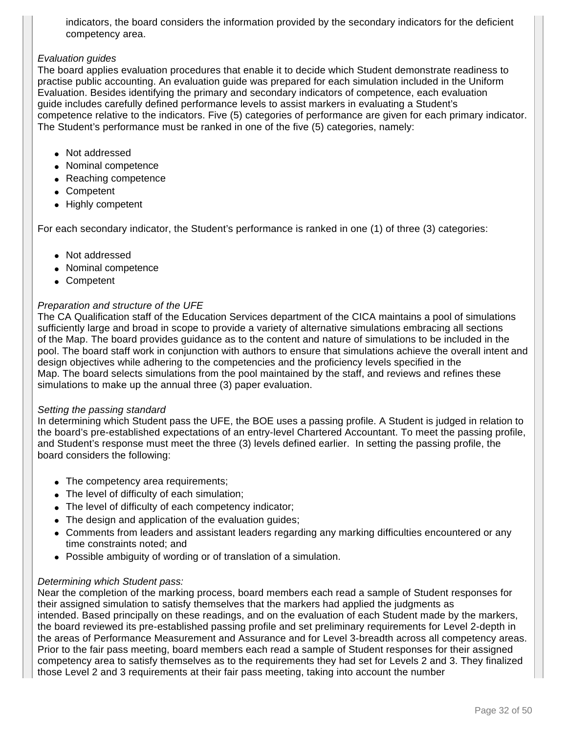indicators, the board considers the information provided by the secondary indicators for the deficient competency area.

#### Evaluation guides

The board applies evaluation procedures that enable it to decide which Student demonstrate readiness to practise public accounting. An evaluation guide was prepared for each simulation included in the Uniform Evaluation. Besides identifying the primary and secondary indicators of competence, each evaluation guide includes carefully defined performance levels to assist markers in evaluating a Student's competence relative to the indicators. Five (5) categories of performance are given for each primary indicator. The Student's performance must be ranked in one of the five (5) categories, namely:

- Not addressed
- Nominal competence
- Reaching competence
- Competent
- Highly competent

For each secondary indicator, the Student's performance is ranked in one (1) of three (3) categories:

- Not addressed
- Nominal competence
- Competent

### Preparation and structure of the UFE

The CA Qualification staff of the Education Services department of the CICA maintains a pool of simulations sufficiently large and broad in scope to provide a variety of alternative simulations embracing all sections of the Map. The board provides guidance as to the content and nature of simulations to be included in the pool. The board staff work in conjunction with authors to ensure that simulations achieve the overall intent and design objectives while adhering to the competencies and the proficiency levels specified in the Map. The board selects simulations from the pool maintained by the staff, and reviews and refines these simulations to make up the annual three (3) paper evaluation.

#### Setting the passing standard

In determining which Student pass the UFE, the BOE uses a passing profile. A Student is judged in relation to the board's pre-established expectations of an entry-level Chartered Accountant. To meet the passing profile, and Student's response must meet the three (3) levels defined earlier. In setting the passing profile, the board considers the following:

- The competency area requirements;
- The level of difficulty of each simulation;
- The level of difficulty of each competency indicator;
- The design and application of the evaluation guides;
- Comments from leaders and assistant leaders regarding any marking difficulties encountered or any time constraints noted; and
- Possible ambiguity of wording or of translation of a simulation.

### Determining which Student pass:

Near the completion of the marking process, board members each read a sample of Student responses for their assigned simulation to satisfy themselves that the markers had applied the judgments as intended. Based principally on these readings, and on the evaluation of each Student made by the markers, the board reviewed its pre-established passing profile and set preliminary requirements for Level 2-depth in the areas of Performance Measurement and Assurance and for Level 3-breadth across all competency areas. Prior to the fair pass meeting, board members each read a sample of Student responses for their assigned competency area to satisfy themselves as to the requirements they had set for Levels 2 and 3. They finalized those Level 2 and 3 requirements at their fair pass meeting, taking into account the number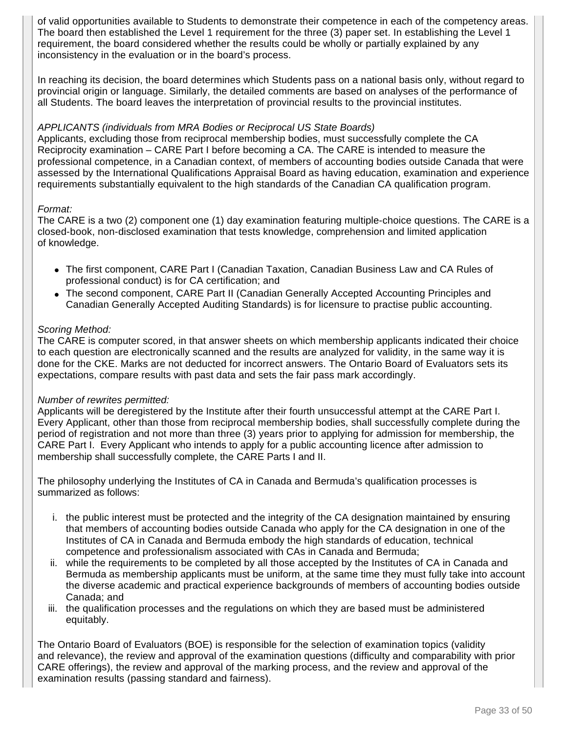of valid opportunities available to Students to demonstrate their competence in each of the competency areas. The board then established the Level 1 requirement for the three (3) paper set. In establishing the Level 1 requirement, the board considered whether the results could be wholly or partially explained by any inconsistency in the evaluation or in the board's process.

In reaching its decision, the board determines which Students pass on a national basis only, without regard to provincial origin or language. Similarly, the detailed comments are based on analyses of the performance of all Students. The board leaves the interpretation of provincial results to the provincial institutes.

#### APPLICANTS (individuals from MRA Bodies or Reciprocal US State Boards)

Applicants, excluding those from reciprocal membership bodies, must successfully complete the CA Reciprocity examination – CARE Part I before becoming a CA. The CARE is intended to measure the professional competence, in a Canadian context, of members of accounting bodies outside Canada that were assessed by the International Qualifications Appraisal Board as having education, examination and experience requirements substantially equivalent to the high standards of the Canadian CA qualification program.

#### Format:

The CARE is a two (2) component one (1) day examination featuring multiple-choice questions. The CARE is a closed-book, non-disclosed examination that tests knowledge, comprehension and limited application of knowledge.

- The first component, CARE Part I (Canadian Taxation, Canadian Business Law and CA Rules of professional conduct) is for CA certification; and
- The second component, CARE Part II (Canadian Generally Accepted Accounting Principles and Canadian Generally Accepted Auditing Standards) is for licensure to practise public accounting.

#### Scoring Method:

The CARE is computer scored, in that answer sheets on which membership applicants indicated their choice to each question are electronically scanned and the results are analyzed for validity, in the same way it is done for the CKE. Marks are not deducted for incorrect answers. The Ontario Board of Evaluators sets its expectations, compare results with past data and sets the fair pass mark accordingly.

#### Number of rewrites permitted:

Applicants will be deregistered by the Institute after their fourth unsuccessful attempt at the CARE Part I. Every Applicant, other than those from reciprocal membership bodies, shall successfully complete during the period of registration and not more than three (3) years prior to applying for admission for membership, the CARE Part I. Every Applicant who intends to apply for a public accounting licence after admission to membership shall successfully complete, the CARE Parts I and II.

The philosophy underlying the Institutes of CA in Canada and Bermuda's qualification processes is summarized as follows:

- i. the public interest must be protected and the integrity of the CA designation maintained by ensuring that members of accounting bodies outside Canada who apply for the CA designation in one of the Institutes of CA in Canada and Bermuda embody the high standards of education, technical competence and professionalism associated with CAs in Canada and Bermuda;
- ii. while the requirements to be completed by all those accepted by the Institutes of CA in Canada and Bermuda as membership applicants must be uniform, at the same time they must fully take into account the diverse academic and practical experience backgrounds of members of accounting bodies outside Canada; and
- iii. the qualification processes and the regulations on which they are based must be administered equitably.

The Ontario Board of Evaluators (BOE) is responsible for the selection of examination topics (validity and relevance), the review and approval of the examination questions (difficulty and comparability with prior CARE offerings), the review and approval of the marking process, and the review and approval of the examination results (passing standard and fairness).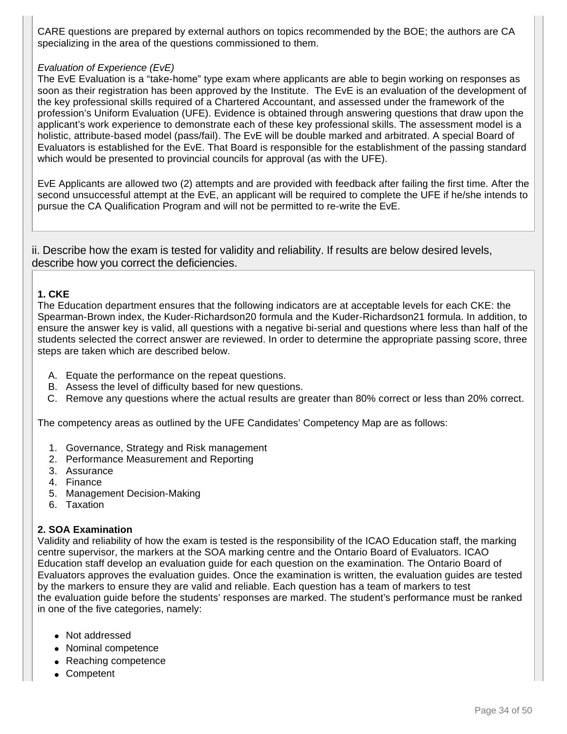CARE questions are prepared by external authors on topics recommended by the BOE; the authors are CA specializing in the area of the questions commissioned to them.

#### Evaluation of Experience (EvE)

The EvE Evaluation is a "take-home" type exam where applicants are able to begin working on responses as soon as their registration has been approved by the Institute. The EvE is an evaluation of the development of the key professional skills required of a Chartered Accountant, and assessed under the framework of the profession's Uniform Evaluation (UFE). Evidence is obtained through answering questions that draw upon the applicant's work experience to demonstrate each of these key professional skills. The assessment model is a holistic, attribute-based model (pass/fail). The EvE will be double marked and arbitrated. A special Board of Evaluators is established for the EvE. That Board is responsible for the establishment of the passing standard which would be presented to provincial councils for approval (as with the UFE).

EvE Applicants are allowed two (2) attempts and are provided with feedback after failing the first time. After the second unsuccessful attempt at the EvE, an applicant will be required to complete the UFE if he/she intends to pursue the CA Qualification Program and will not be permitted to re-write the EvE.

ii. Describe how the exam is tested for validity and reliability. If results are below desired levels, describe how you correct the deficiencies.

#### **1. CKE**

The Education department ensures that the following indicators are at acceptable levels for each CKE: the Spearman-Brown index, the Kuder-Richardson20 formula and the Kuder-Richardson21 formula. In addition, to ensure the answer key is valid, all questions with a negative bi-serial and questions where less than half of the students selected the correct answer are reviewed. In order to determine the appropriate passing score, three steps are taken which are described below.

- A. Equate the performance on the repeat questions.
- B. Assess the level of difficulty based for new questions.
- C. Remove any questions where the actual results are greater than 80% correct or less than 20% correct.

The competency areas as outlined by the UFE Candidates' Competency Map are as follows:

- 1. Governance, Strategy and Risk management
- 2. Performance Measurement and Reporting
- 3. Assurance
- 4. Finance
- 5. Management Decision-Making
- 6. Taxation

### **2. SOA Examination**

Validity and reliability of how the exam is tested is the responsibility of the ICAO Education staff, the marking centre supervisor, the markers at the SOA marking centre and the Ontario Board of Evaluators. ICAO Education staff develop an evaluation guide for each question on the examination. The Ontario Board of Evaluators approves the evaluation guides. Once the examination is written, the evaluation guides are tested by the markers to ensure they are valid and reliable. Each question has a team of markers to test the evaluation guide before the students' responses are marked. The student's performance must be ranked in one of the five categories, namely:

- Not addressed
- Nominal competence
- Reaching competence
- Competent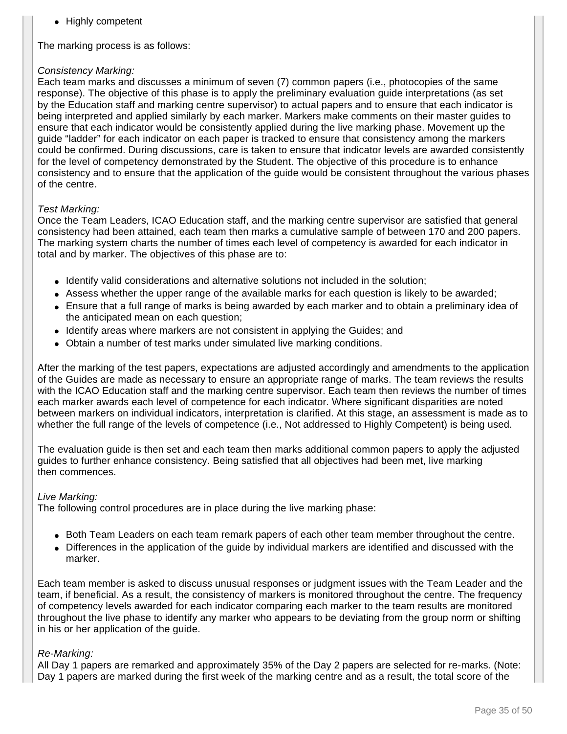● Highly competent

The marking process is as follows:

#### Consistency Marking:

Each team marks and discusses a minimum of seven (7) common papers (i.e., photocopies of the same response). The objective of this phase is to apply the preliminary evaluation guide interpretations (as set by the Education staff and marking centre supervisor) to actual papers and to ensure that each indicator is being interpreted and applied similarly by each marker. Markers make comments on their master guides to ensure that each indicator would be consistently applied during the live marking phase. Movement up the guide "ladder" for each indicator on each paper is tracked to ensure that consistency among the markers could be confirmed. During discussions, care is taken to ensure that indicator levels are awarded consistently for the level of competency demonstrated by the Student. The objective of this procedure is to enhance consistency and to ensure that the application of the guide would be consistent throughout the various phases of the centre.

#### Test Marking:

Once the Team Leaders, ICAO Education staff, and the marking centre supervisor are satisfied that general consistency had been attained, each team then marks a cumulative sample of between 170 and 200 papers. The marking system charts the number of times each level of competency is awarded for each indicator in total and by marker. The objectives of this phase are to:

- Identify valid considerations and alternative solutions not included in the solution;
- Assess whether the upper range of the available marks for each question is likely to be awarded;
- Ensure that a full range of marks is being awarded by each marker and to obtain a preliminary idea of the anticipated mean on each question;
- Identify areas where markers are not consistent in applying the Guides; and
- Obtain a number of test marks under simulated live marking conditions.

After the marking of the test papers, expectations are adjusted accordingly and amendments to the application of the Guides are made as necessary to ensure an appropriate range of marks. The team reviews the results with the ICAO Education staff and the marking centre supervisor. Each team then reviews the number of times each marker awards each level of competence for each indicator. Where significant disparities are noted between markers on individual indicators, interpretation is clarified. At this stage, an assessment is made as to whether the full range of the levels of competence (i.e., Not addressed to Highly Competent) is being used.

The evaluation guide is then set and each team then marks additional common papers to apply the adjusted guides to further enhance consistency. Being satisfied that all objectives had been met, live marking then commences.

#### Live Marking:

The following control procedures are in place during the live marking phase:

- Both Team Leaders on each team remark papers of each other team member throughout the centre.
- Differences in the application of the guide by individual markers are identified and discussed with the marker.

Each team member is asked to discuss unusual responses or judgment issues with the Team Leader and the team, if beneficial. As a result, the consistency of markers is monitored throughout the centre. The frequency of competency levels awarded for each indicator comparing each marker to the team results are monitored throughout the live phase to identify any marker who appears to be deviating from the group norm or shifting in his or her application of the guide.

#### Re-Marking:

All Day 1 papers are remarked and approximately 35% of the Day 2 papers are selected for re-marks. (Note: Day 1 papers are marked during the first week of the marking centre and as a result, the total score of the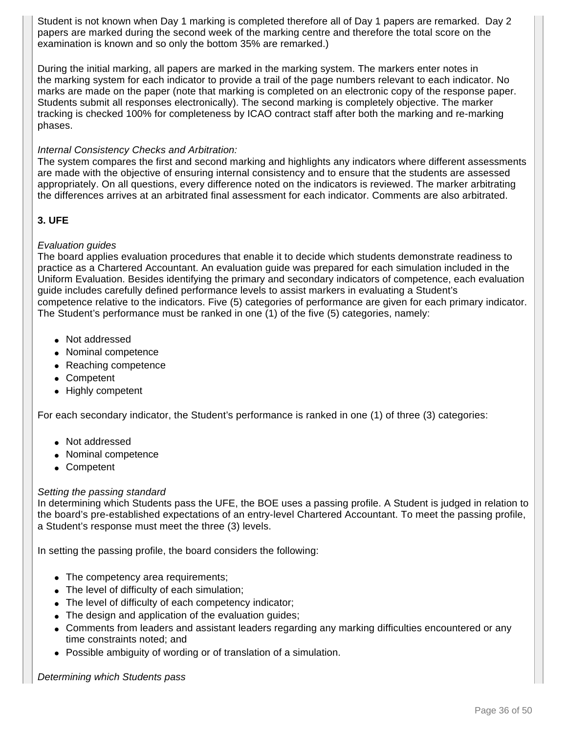Student is not known when Day 1 marking is completed therefore all of Day 1 papers are remarked. Day 2 papers are marked during the second week of the marking centre and therefore the total score on the examination is known and so only the bottom 35% are remarked.)

During the initial marking, all papers are marked in the marking system. The markers enter notes in the marking system for each indicator to provide a trail of the page numbers relevant to each indicator. No marks are made on the paper (note that marking is completed on an electronic copy of the response paper. Students submit all responses electronically). The second marking is completely objective. The marker tracking is checked 100% for completeness by ICAO contract staff after both the marking and re-marking phases.

#### Internal Consistency Checks and Arbitration:

The system compares the first and second marking and highlights any indicators where different assessments are made with the objective of ensuring internal consistency and to ensure that the students are assessed appropriately. On all questions, every difference noted on the indicators is reviewed. The marker arbitrating the differences arrives at an arbitrated final assessment for each indicator. Comments are also arbitrated.

### **3. UFE**

#### Evaluation guides

The board applies evaluation procedures that enable it to decide which students demonstrate readiness to practice as a Chartered Accountant. An evaluation guide was prepared for each simulation included in the Uniform Evaluation. Besides identifying the primary and secondary indicators of competence, each evaluation guide includes carefully defined performance levels to assist markers in evaluating a Student's competence relative to the indicators. Five (5) categories of performance are given for each primary indicator. The Student's performance must be ranked in one (1) of the five (5) categories, namely:

- Not addressed
- Nominal competence
- Reaching competence
- Competent
- Highly competent

For each secondary indicator, the Student's performance is ranked in one (1) of three (3) categories:

- Not addressed
- Nominal competence
- Competent

#### Setting the passing standard

In determining which Students pass the UFE, the BOE uses a passing profile. A Student is judged in relation to the board's pre-established expectations of an entry-level Chartered Accountant. To meet the passing profile, a Student's response must meet the three (3) levels.

In setting the passing profile, the board considers the following:

- The competency area requirements;
- The level of difficulty of each simulation;
- The level of difficulty of each competency indicator;
- The design and application of the evaluation guides;
- Comments from leaders and assistant leaders regarding any marking difficulties encountered or any time constraints noted; and
- Possible ambiguity of wording or of translation of a simulation.

#### Determining which Students pass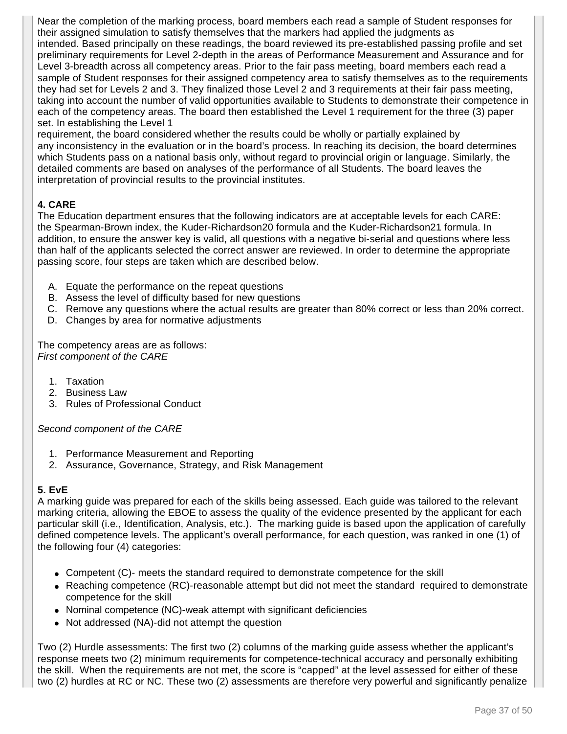Near the completion of the marking process, board members each read a sample of Student responses for their assigned simulation to satisfy themselves that the markers had applied the judgments as intended. Based principally on these readings, the board reviewed its pre-established passing profile and set preliminary requirements for Level 2-depth in the areas of Performance Measurement and Assurance and for Level 3-breadth across all competency areas. Prior to the fair pass meeting, board members each read a sample of Student responses for their assigned competency area to satisfy themselves as to the requirements they had set for Levels 2 and 3. They finalized those Level 2 and 3 requirements at their fair pass meeting, taking into account the number of valid opportunities available to Students to demonstrate their competence in each of the competency areas. The board then established the Level 1 requirement for the three (3) paper set. In establishing the Level 1

requirement, the board considered whether the results could be wholly or partially explained by any inconsistency in the evaluation or in the board's process. In reaching its decision, the board determines which Students pass on a national basis only, without regard to provincial origin or language. Similarly, the detailed comments are based on analyses of the performance of all Students. The board leaves the interpretation of provincial results to the provincial institutes.

### **4. CARE**

The Education department ensures that the following indicators are at acceptable levels for each CARE: the Spearman-Brown index, the Kuder-Richardson20 formula and the Kuder-Richardson21 formula. In addition, to ensure the answer key is valid, all questions with a negative bi-serial and questions where less than half of the applicants selected the correct answer are reviewed. In order to determine the appropriate passing score, four steps are taken which are described below.

- A. Equate the performance on the repeat questions
- B. Assess the level of difficulty based for new questions
- C. Remove any questions where the actual results are greater than 80% correct or less than 20% correct.
- D. Changes by area for normative adjustments

The competency areas are as follows: First component of the CARE

- 1. Taxation
- 2. Business Law
- 3. Rules of Professional Conduct

Second component of the CARE

- 1. Performance Measurement and Reporting
- 2. Assurance, Governance, Strategy, and Risk Management

### **5. EvE**

A marking guide was prepared for each of the skills being assessed. Each guide was tailored to the relevant marking criteria, allowing the EBOE to assess the quality of the evidence presented by the applicant for each particular skill (i.e., Identification, Analysis, etc.). The marking guide is based upon the application of carefully defined competence levels. The applicant's overall performance, for each question, was ranked in one (1) of the following four (4) categories:

- Competent (C)- meets the standard required to demonstrate competence for the skill
- Reaching competence (RC)-reasonable attempt but did not meet the standard required to demonstrate competence for the skill
- Nominal competence (NC)-weak attempt with significant deficiencies
- Not addressed (NA)-did not attempt the question

Two (2) Hurdle assessments: The first two (2) columns of the marking guide assess whether the applicant's response meets two (2) minimum requirements for competence-technical accuracy and personally exhibiting the skill. When the requirements are not met, the score is "capped" at the level assessed for either of these two (2) hurdles at RC or NC. These two (2) assessments are therefore very powerful and significantly penalize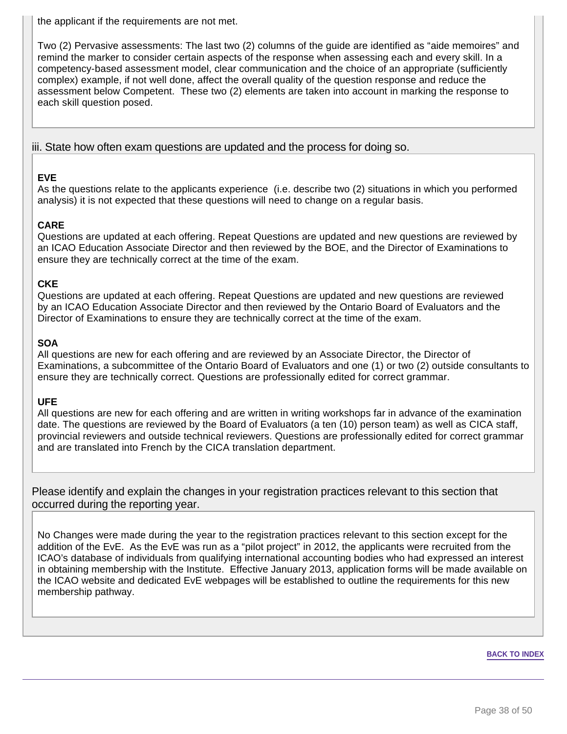the applicant if the requirements are not met.

Two (2) Pervasive assessments: The last two (2) columns of the guide are identified as "aide memoires" and remind the marker to consider certain aspects of the response when assessing each and every skill. In a competency-based assessment model, clear communication and the choice of an appropriate (sufficiently complex) example, if not well done, affect the overall quality of the question response and reduce the assessment below Competent. These two (2) elements are taken into account in marking the response to each skill question posed.

#### iii. State how often exam questions are updated and the process for doing so.

### **EVE**

As the questions relate to the applicants experience (i.e. describe two (2) situations in which you performed analysis) it is not expected that these questions will need to change on a regular basis.

### **CARE**

Questions are updated at each offering. Repeat Questions are updated and new questions are reviewed by an ICAO Education Associate Director and then reviewed by the BOE, and the Director of Examinations to ensure they are technically correct at the time of the exam.

### **CKE**

Questions are updated at each offering. Repeat Questions are updated and new questions are reviewed by an ICAO Education Associate Director and then reviewed by the Ontario Board of Evaluators and the Director of Examinations to ensure they are technically correct at the time of the exam.

### **SOA**

All questions are new for each offering and are reviewed by an Associate Director, the Director of Examinations, a subcommittee of the Ontario Board of Evaluators and one (1) or two (2) outside consultants to ensure they are technically correct. Questions are professionally edited for correct grammar.

### **UFE**

All questions are new for each offering and are written in writing workshops far in advance of the examination date. The questions are reviewed by the Board of Evaluators (a ten (10) person team) as well as CICA staff, provincial reviewers and outside technical reviewers. Questions are professionally edited for correct grammar and are translated into French by the CICA translation department.

Please identify and explain the changes in your registration practices relevant to this section that occurred during the reporting year.

No Changes were made during the year to the registration practices relevant to this section except for the addition of the EvE. As the EvE was run as a "pilot project" in 2012, the applicants were recruited from the ICAO's database of individuals from qualifying international accounting bodies who had expressed an interest in obtaining membership with the Institute. Effective January 2013, application forms will be made available on the ICAO website and dedicated EvE webpages will be established to outline the requirements for this new membership pathway.

#### **BACK TO INDEX**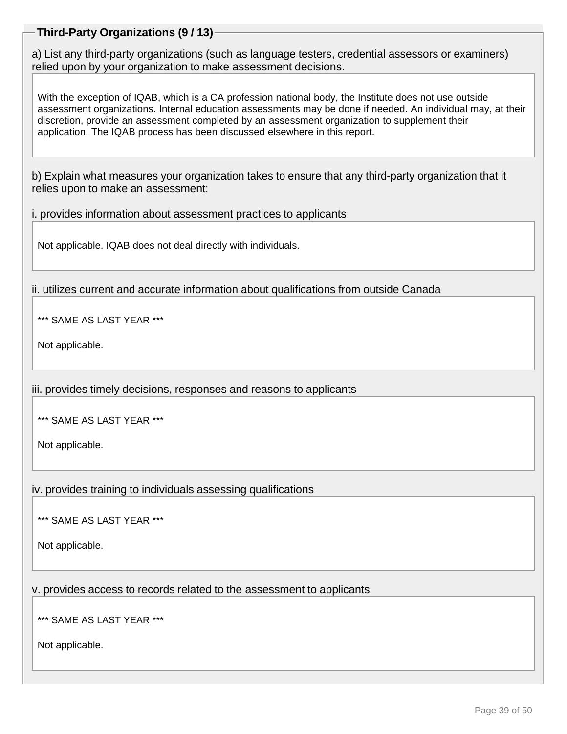### **Third-Party Organizations (9 / 13)**

a) List any third-party organizations (such as language testers, credential assessors or examiners) relied upon by your organization to make assessment decisions.

With the exception of IQAB, which is a CA profession national body, the Institute does not use outside assessment organizations. Internal education assessments may be done if needed. An individual may, at their discretion, provide an assessment completed by an assessment organization to supplement their application. The IQAB process has been discussed elsewhere in this report.

b) Explain what measures your organization takes to ensure that any third-party organization that it relies upon to make an assessment:

i. provides information about assessment practices to applicants

Not applicable. IQAB does not deal directly with individuals.

ii. utilizes current and accurate information about qualifications from outside Canada

\*\*\* SAME AS LAST YEAR \*\*\*

Not applicable.

iii. provides timely decisions, responses and reasons to applicants

\*\*\* SAME AS LAST YEAR \*\*\*

Not applicable.

iv. provides training to individuals assessing qualifications

\*\*\* SAME AS LAST YEAR \*\*\*

Not applicable.

v. provides access to records related to the assessment to applicants

\*\*\* SAME AS LAST YEAR \*\*\*

Not applicable.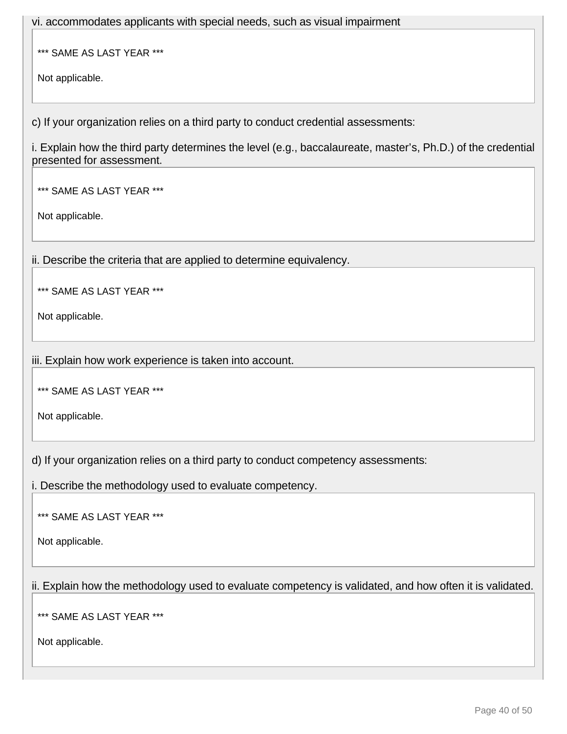vi. accommodates applicants with special needs, such as visual impairment

\*\*\* SAME AS LAST YEAR \*\*\*

Not applicable.

c) If your organization relies on a third party to conduct credential assessments:

i. Explain how the third party determines the level (e.g., baccalaureate, master's, Ph.D.) of the credential presented for assessment.

\*\*\* SAME AS LAST YEAR \*\*\*

Not applicable.

ii. Describe the criteria that are applied to determine equivalency.

\*\*\* SAME AS LAST YEAR \*\*\*

Not applicable.

iii. Explain how work experience is taken into account.

\*\*\* SAME AS LAST YEAR \*\*\*

Not applicable.

d) If your organization relies on a third party to conduct competency assessments:

i. Describe the methodology used to evaluate competency.

\*\*\* SAME AS LAST YEAR \*\*\*

Not applicable.

ii. Explain how the methodology used to evaluate competency is validated, and how often it is validated.

\*\*\* SAME AS LAST YEAR \*\*\*

Not applicable.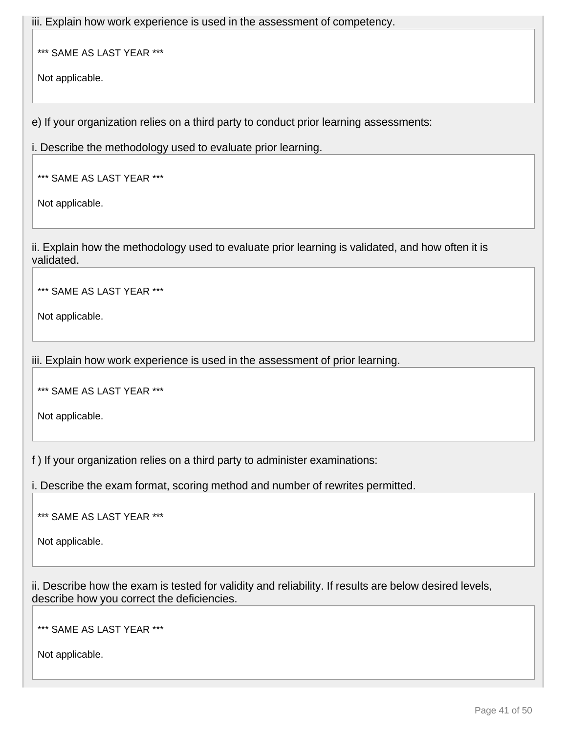iii. Explain how work experience is used in the assessment of competency.

\*\*\* SAME AS LAST YEAR \*\*\*

Not applicable.

e) If your organization relies on a third party to conduct prior learning assessments:

i. Describe the methodology used to evaluate prior learning.

\*\*\* SAME AS LAST YEAR \*\*\*

Not applicable.

ii. Explain how the methodology used to evaluate prior learning is validated, and how often it is validated.

\*\*\* SAME AS LAST YEAR \*\*\*

Not applicable.

iii. Explain how work experience is used in the assessment of prior learning.

\*\*\* SAME AS LAST YEAR \*\*\*

Not applicable.

f ) If your organization relies on a third party to administer examinations:

i. Describe the exam format, scoring method and number of rewrites permitted.

\*\*\* SAME AS LAST YEAR \*\*\*

Not applicable.

ii. Describe how the exam is tested for validity and reliability. If results are below desired levels, describe how you correct the deficiencies.

\*\*\* SAME AS LAST YEAR \*\*\*

Not applicable.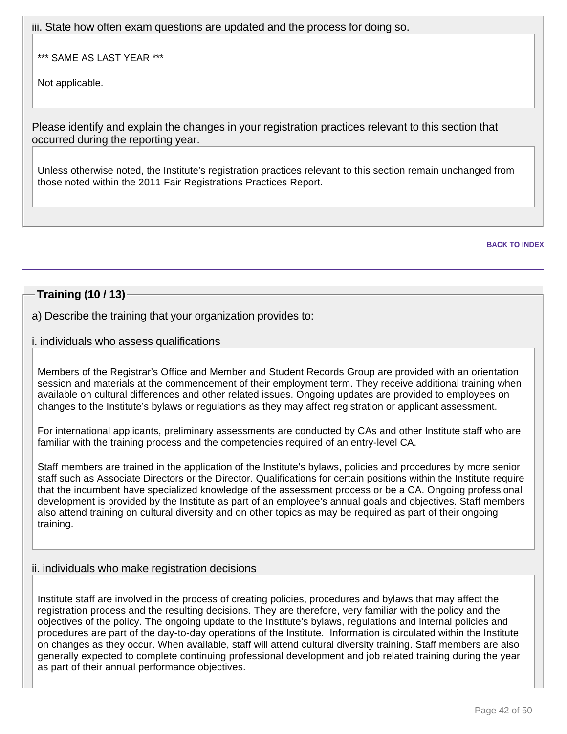iii. State how often exam questions are updated and the process for doing so.

\*\*\* SAME AS LAST YEAR \*\*\*

Not applicable.

Please identify and explain the changes in your registration practices relevant to this section that occurred during the reporting year.

Unless otherwise noted, the Institute's registration practices relevant to this section remain unchanged from those noted within the 2011 Fair Registrations Practices Report.

**BACK TO INDEX**

### **Training (10 / 13)**

a) Describe the training that your organization provides to:

### i. individuals who assess qualifications

Members of the Registrar's Office and Member and Student Records Group are provided with an orientation session and materials at the commencement of their employment term. They receive additional training when available on cultural differences and other related issues. Ongoing updates are provided to employees on changes to the Institute's bylaws or regulations as they may affect registration or applicant assessment.

For international applicants, preliminary assessments are conducted by CAs and other Institute staff who are familiar with the training process and the competencies required of an entry-level CA.

Staff members are trained in the application of the Institute's bylaws, policies and procedures by more senior staff such as Associate Directors or the Director. Qualifications for certain positions within the Institute require that the incumbent have specialized knowledge of the assessment process or be a CA. Ongoing professional development is provided by the Institute as part of an employee's annual goals and objectives. Staff members also attend training on cultural diversity and on other topics as may be required as part of their ongoing training.

### ii. individuals who make registration decisions

Institute staff are involved in the process of creating policies, procedures and bylaws that may affect the registration process and the resulting decisions. They are therefore, very familiar with the policy and the objectives of the policy. The ongoing update to the Institute's bylaws, regulations and internal policies and procedures are part of the day-to-day operations of the Institute. Information is circulated within the Institute on changes as they occur. When available, staff will attend cultural diversity training. Staff members are also generally expected to complete continuing professional development and job related training during the year as part of their annual performance objectives.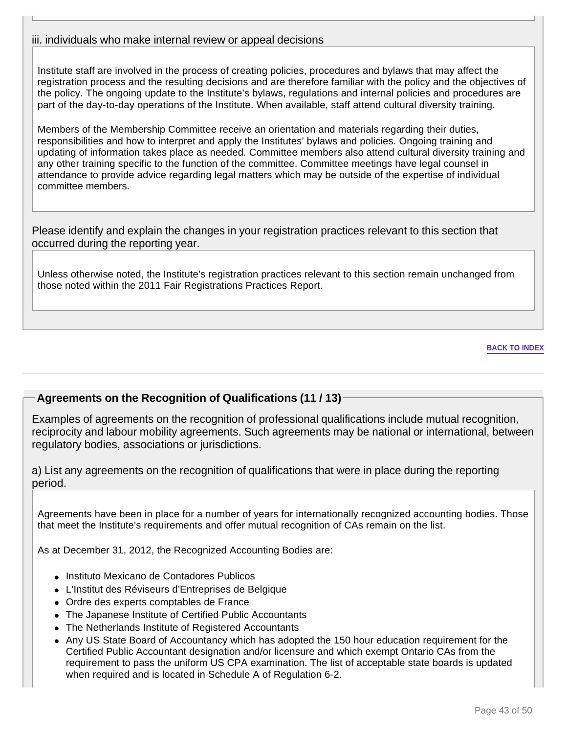### iii. individuals who make internal review or appeal decisions

Institute staff are involved in the process of creating policies, procedures and bylaws that may affect the registration process and the resulting decisions and are therefore familiar with the policy and the objectives of the policy. The ongoing update to the Institute's bylaws, regulations and internal policies and procedures are part of the day-to-day operations of the Institute. When available, staff attend cultural diversity training.

Members of the Membership Committee receive an orientation and materials regarding their duties, responsibilities and how to interpret and apply the Institutes' bylaws and policies. Ongoing training and updating of information takes place as needed. Committee members also attend cultural diversity training and any other training specific to the function of the committee. Committee meetings have legal counsel in attendance to provide advice regarding legal matters which may be outside of the expertise of individual committee members.

Please identify and explain the changes in your registration practices relevant to this section that occurred during the reporting year.

Unless otherwise noted, the Institute's registration practices relevant to this section remain unchanged from those noted within the 2011 Fair Registrations Practices Report.

#### **BACK TO INDEX**

### **Agreements on the Recognition of Qualifications (11 / 13)**

Examples of agreements on the recognition of professional qualifications include mutual recognition, reciprocity and labour mobility agreements. Such agreements may be national or international, between regulatory bodies, associations or jurisdictions.

a) List any agreements on the recognition of qualifications that were in place during the reporting period.

Agreements have been in place for a number of years for internationally recognized accounting bodies. Those that meet the Institute's requirements and offer mutual recognition of CAs remain on the list.

As at December 31, 2012, the Recognized Accounting Bodies are:

- Instituto Mexicano de Contadores Publicos
- L'Institut des Réviseurs d'Entreprises de Belgique
- Ordre des experts comptables de France
- The Japanese Institute of Certified Public Accountants
- The Netherlands Institute of Registered Accountants
- Any US State Board of Accountancy which has adopted the 150 hour education requirement for the Certified Public Accountant designation and/or licensure and which exempt Ontario CAs from the requirement to pass the uniform US CPA examination. The list of acceptable state boards is updated when required and is located in Schedule A of Regulation 6-2.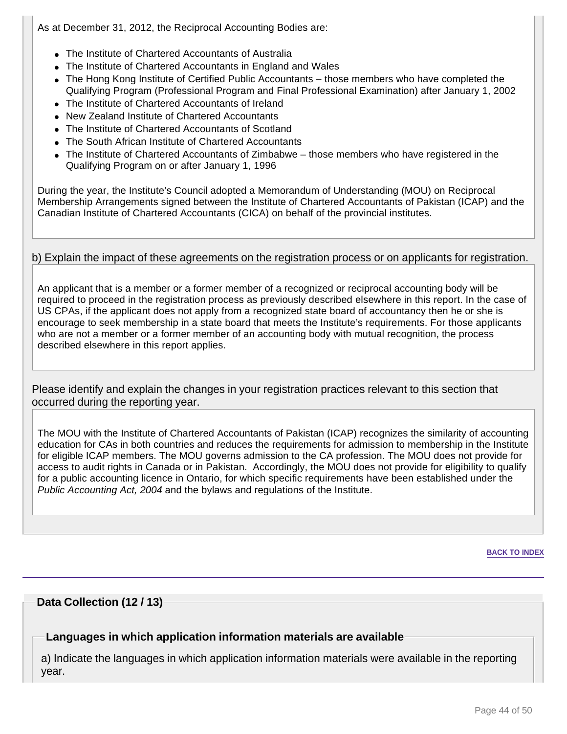As at December 31, 2012, the Reciprocal Accounting Bodies are:

- The Institute of Chartered Accountants of Australia
- The Institute of Chartered Accountants in England and Wales
- The Hong Kong Institute of Certified Public Accountants those members who have completed the Qualifying Program (Professional Program and Final Professional Examination) after January 1, 2002
- The Institute of Chartered Accountants of Ireland
- New Zealand Institute of Chartered Accountants
- The Institute of Chartered Accountants of Scotland
- The South African Institute of Chartered Accountants
- The Institute of Chartered Accountants of Zimbabwe those members who have registered in the Qualifying Program on or after January 1, 1996

During the year, the Institute's Council adopted a Memorandum of Understanding (MOU) on Reciprocal Membership Arrangements signed between the Institute of Chartered Accountants of Pakistan (ICAP) and the Canadian Institute of Chartered Accountants (CICA) on behalf of the provincial institutes.

### b) Explain the impact of these agreements on the registration process or on applicants for registration.

An applicant that is a member or a former member of a recognized or reciprocal accounting body will be required to proceed in the registration process as previously described elsewhere in this report. In the case of US CPAs, if the applicant does not apply from a recognized state board of accountancy then he or she is encourage to seek membership in a state board that meets the Institute's requirements. For those applicants who are not a member or a former member of an accounting body with mutual recognition, the process described elsewhere in this report applies.

Please identify and explain the changes in your registration practices relevant to this section that occurred during the reporting year.

The MOU with the Institute of Chartered Accountants of Pakistan (ICAP) recognizes the similarity of accounting education for CAs in both countries and reduces the requirements for admission to membership in the Institute for eligible ICAP members. The MOU governs admission to the CA profession. The MOU does not provide for access to audit rights in Canada or in Pakistan. Accordingly, the MOU does not provide for eligibility to qualify for a public accounting licence in Ontario, for which specific requirements have been established under the Public Accounting Act, 2004 and the bylaws and regulations of the Institute.

**BACK TO INDEX**

### **Data Collection (12 / 13)**

### **Languages in which application information materials are available**

a) Indicate the languages in which application information materials were available in the reporting year.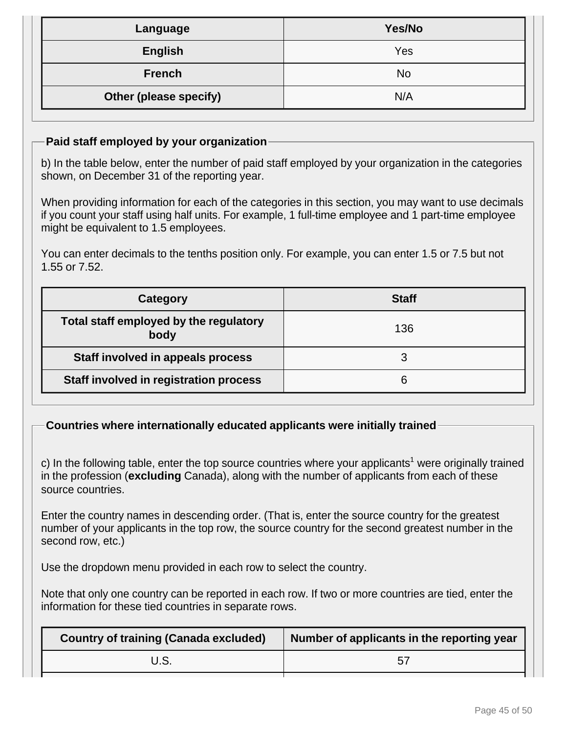| Language               | Yes/No |
|------------------------|--------|
| <b>English</b>         | Yes    |
| <b>French</b>          | No     |
| Other (please specify) | N/A    |

### **Paid staff employed by your organization**

b) In the table below, enter the number of paid staff employed by your organization in the categories shown, on December 31 of the reporting year.

When providing information for each of the categories in this section, you may want to use decimals if you count your staff using half units. For example, 1 full-time employee and 1 part-time employee might be equivalent to 1.5 employees.

You can enter decimals to the tenths position only. For example, you can enter 1.5 or 7.5 but not 1.55 or 7.52.

| Category                                       | <b>Staff</b> |
|------------------------------------------------|--------------|
| Total staff employed by the regulatory<br>body | 136          |
| Staff involved in appeals process              |              |
| Staff involved in registration process         |              |

### **Countries where internationally educated applicants were initially trained**

c) In the following table, enter the top source countries where your applicants<sup>1</sup> were originally trained in the profession (**excluding** Canada), along with the number of applicants from each of these source countries.

Enter the country names in descending order. (That is, enter the source country for the greatest number of your applicants in the top row, the source country for the second greatest number in the second row, etc.)

Use the dropdown menu provided in each row to select the country.

Note that only one country can be reported in each row. If two or more countries are tied, enter the information for these tied countries in separate rows.

| <b>Country of training (Canada excluded)</b> | Number of applicants in the reporting year |
|----------------------------------------------|--------------------------------------------|
|                                              |                                            |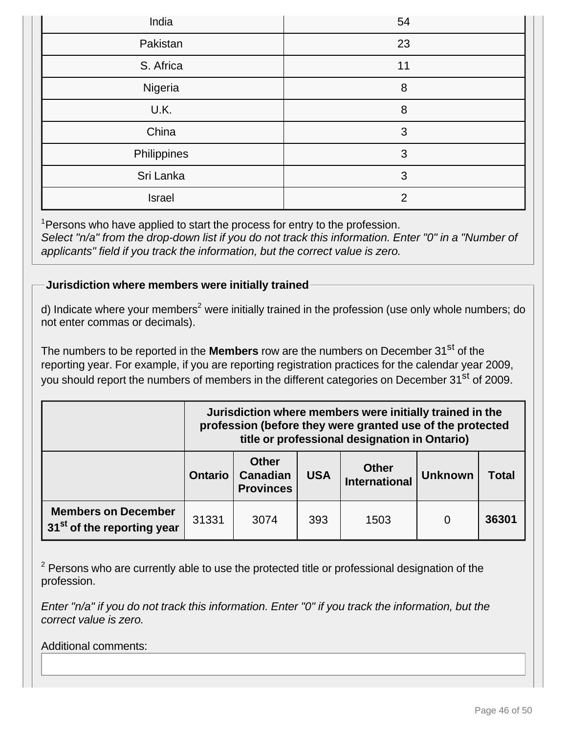| India       | 54             |
|-------------|----------------|
| Pakistan    | 23             |
| S. Africa   | 11             |
| Nigeria     | 8              |
| U.K.        | 8              |
| China       | 3              |
| Philippines | 3              |
| Sri Lanka   | 3              |
| Israel      | $\overline{2}$ |

<sup>1</sup> Persons who have applied to start the process for entry to the profession. Select "n/a" from the drop-down list if you do not track this information. Enter "0" in a "Number of applicants" field if you track the information, but the correct value is zero.

# **Jurisdiction where members were initially trained**

d) Indicate where your members<sup>2</sup> were initially trained in the profession (use only whole numbers; do not enter commas or decimals).

The numbers to be reported in the **Members** row are the numbers on December 31<sup>st</sup> of the reporting year. For example, if you are reporting registration practices for the calendar year 2009, you should report the numbers of members in the different categories on December 31<sup>st</sup> of 2009.

|                                                                      |                | Jurisdiction where members were initially trained in the<br>profession (before they were granted use of the protected<br>title or professional designation in Ontario) |            |              |  |       |
|----------------------------------------------------------------------|----------------|------------------------------------------------------------------------------------------------------------------------------------------------------------------------|------------|--------------|--|-------|
|                                                                      | <b>Ontario</b> | <b>Other</b><br>Canadian<br><b>Provinces</b>                                                                                                                           | <b>USA</b> | <b>Total</b> |  |       |
| <b>Members on December</b><br>31 <sup>st</sup> of the reporting year | 31331          | 3074                                                                                                                                                                   | 393        | 1503         |  | 36301 |

 $2$  Persons who are currently able to use the protected title or professional designation of the profession.

Enter "n/a" if you do not track this information. Enter "0" if you track the information, but the correct value is zero.

Additional comments: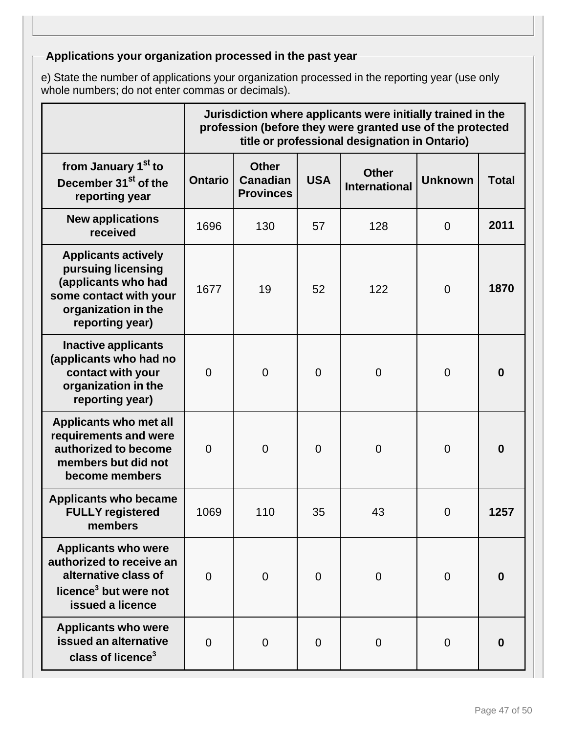# **Applications your organization processed in the past year**

e) State the number of applications your organization processed in the reporting year (use only whole numbers; do not enter commas or decimals).

|                                                                                                                                             |                | Jurisdiction where applicants were initially trained in the<br>profession (before they were granted use of the protected<br>title or professional designation in Ontario) |                |                                      |                |                  |
|---------------------------------------------------------------------------------------------------------------------------------------------|----------------|---------------------------------------------------------------------------------------------------------------------------------------------------------------------------|----------------|--------------------------------------|----------------|------------------|
| from January 1 <sup>st</sup> to<br>December 31 <sup>st</sup> of the<br>reporting year                                                       | <b>Ontario</b> | <b>Other</b><br><b>Canadian</b><br><b>Provinces</b>                                                                                                                       | <b>USA</b>     | <b>Other</b><br><b>International</b> | <b>Unknown</b> | <b>Total</b>     |
| <b>New applications</b><br>received                                                                                                         | 1696           | 130                                                                                                                                                                       | 57             | 128                                  | $\mathbf 0$    | 2011             |
| <b>Applicants actively</b><br>pursuing licensing<br>(applicants who had<br>some contact with your<br>organization in the<br>reporting year) | 1677           | 19                                                                                                                                                                        | 52             | 122                                  | $\overline{0}$ | 1870             |
| <b>Inactive applicants</b><br>(applicants who had no<br>contact with your<br>organization in the<br>reporting year)                         | $\overline{0}$ | $\overline{0}$                                                                                                                                                            | $\overline{0}$ | $\overline{0}$                       | $\overline{0}$ | $\boldsymbol{0}$ |
| <b>Applicants who met all</b><br>requirements and were<br>authorized to become<br>members but did not<br>become members                     | $\overline{0}$ | $\overline{0}$                                                                                                                                                            | $\overline{0}$ | $\overline{0}$                       | $\overline{0}$ | $\bf{0}$         |
| <b>Applicants who became</b><br><b>FULLY registered</b><br>members                                                                          | 1069           | 110                                                                                                                                                                       | 35             | 43                                   | $\mathbf 0$    | 1257             |
| <b>Applicants who were</b><br>authorized to receive an<br>alternative class of<br>licence <sup>3</sup> but were not<br>issued a licence     | $\overline{0}$ | $\overline{0}$                                                                                                                                                            | $\overline{0}$ | $\overline{0}$                       | $\overline{0}$ | $\boldsymbol{0}$ |
| <b>Applicants who were</b><br>issued an alternative<br>class of licence <sup>3</sup>                                                        | $\Omega$       | $\overline{0}$                                                                                                                                                            | $\overline{0}$ | $\overline{0}$                       | 0              | $\bf{0}$         |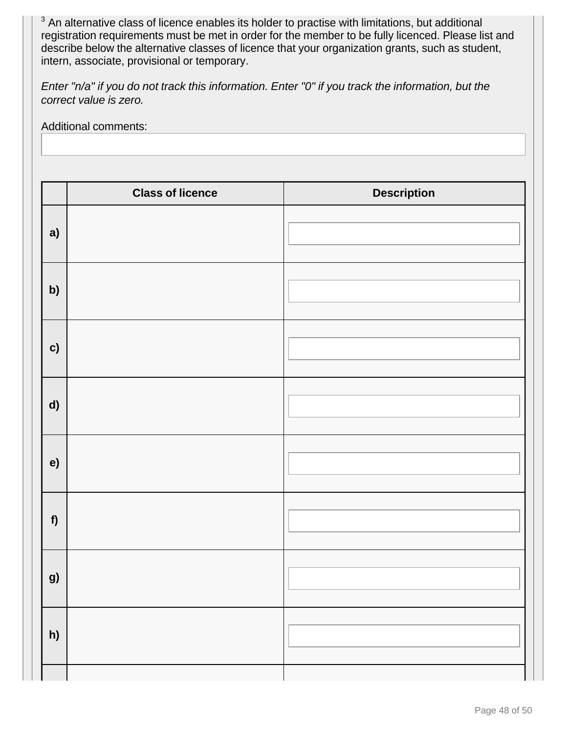$3$  An alternative class of licence enables its holder to practise with limitations, but additional registration requirements must be met in order for the member to be fully licenced. Please list and describe below the alternative classes of licence that your organization grants, such as student, intern, associate, provisional or temporary.

Enter "n/a" if you do not track this information. Enter "0" if you track the information, but the correct value is zero.

Additional comments:

|    | <b>Class of licence</b> | <b>Description</b> |
|----|-------------------------|--------------------|
| a) |                         |                    |
| b) |                         |                    |
| c) |                         |                    |
| d) |                         |                    |
| e) |                         |                    |
| f  |                         |                    |
| g) |                         |                    |
| h) |                         |                    |
|    |                         |                    |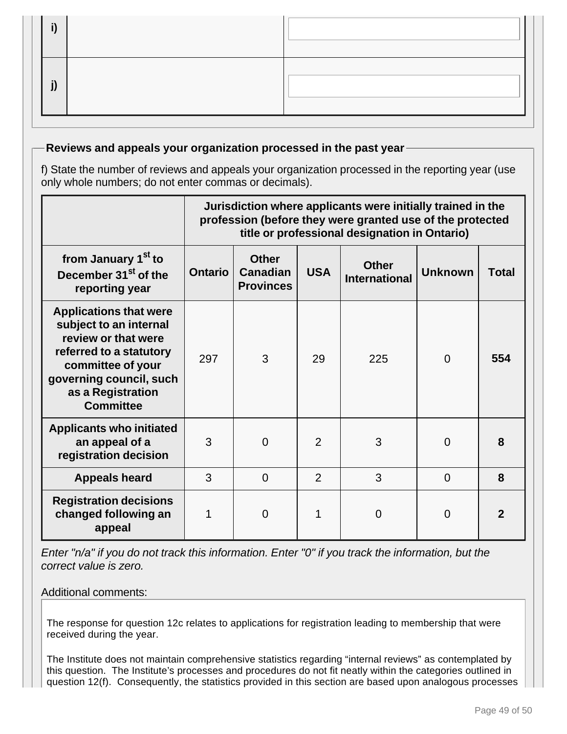## **Reviews and appeals your organization processed in the past year**

f) State the number of reviews and appeals your organization processed in the reporting year (use only whole numbers; do not enter commas or decimals).

|                                                                                                                                                                                                    |                | Jurisdiction where applicants were initially trained in the<br>profession (before they were granted use of the protected<br>title or professional designation in Ontario) |                |     |          |     |  |  |
|----------------------------------------------------------------------------------------------------------------------------------------------------------------------------------------------------|----------------|---------------------------------------------------------------------------------------------------------------------------------------------------------------------------|----------------|-----|----------|-----|--|--|
| from January 1 <sup>st</sup> to<br>December 31 <sup>st</sup> of the<br>reporting year                                                                                                              | <b>Ontario</b> | <b>Other</b><br><b>Other</b><br><b>USA</b><br><b>Unknown</b><br><b>Canadian</b><br><b>Total</b><br><b>International</b><br><b>Provinces</b>                               |                |     |          |     |  |  |
| <b>Applications that were</b><br>subject to an internal<br>review or that were<br>referred to a statutory<br>committee of your<br>governing council, such<br>as a Registration<br><b>Committee</b> | 297            | 3                                                                                                                                                                         | 29             | 225 | $\Omega$ | 554 |  |  |
| <b>Applicants who initiated</b><br>an appeal of a<br>registration decision                                                                                                                         | 3              | $\overline{0}$                                                                                                                                                            | $\overline{2}$ | 3   | $\Omega$ | 8   |  |  |
| <b>Appeals heard</b>                                                                                                                                                                               | 3              | $\Omega$                                                                                                                                                                  | $\overline{2}$ | 3   | $\Omega$ | 8   |  |  |
| <b>Registration decisions</b><br>changed following an<br>appeal                                                                                                                                    |                | $\Omega$                                                                                                                                                                  |                | 0   | $\Omega$ |     |  |  |

Enter "n/a" if you do not track this information. Enter "0" if you track the information, but the correct value is zero.

### Additional comments:

The response for question 12c relates to applications for registration leading to membership that were received during the year.

The Institute does not maintain comprehensive statistics regarding "internal reviews" as contemplated by this question. The Institute's processes and procedures do not fit neatly within the categories outlined in question 12(f). Consequently, the statistics provided in this section are based upon analogous processes